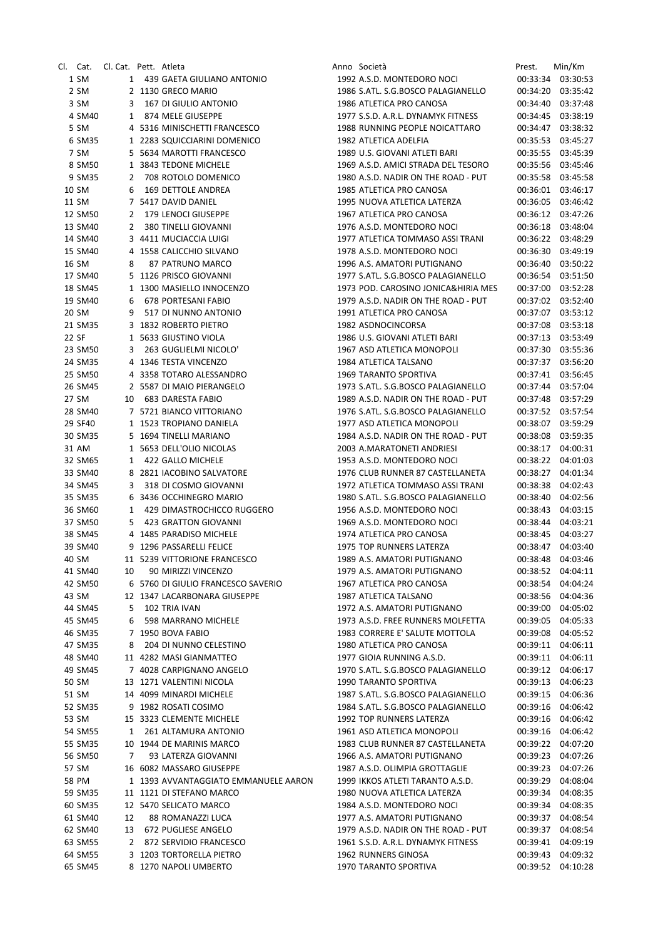| Cl. Cat. Cl. Cat. Pett. Atleta |    |                                                      | Anno Società                                                         | Prest.   | Min/Km                                 |
|--------------------------------|----|------------------------------------------------------|----------------------------------------------------------------------|----------|----------------------------------------|
| 1 SM                           |    | 1 439 GAETA GIULIANO ANTONIO                         | 1992 A.S.D. MONTEDORO NOCI                                           |          | 00:33:34 03:30:53                      |
| 2 SM                           |    | 2 1130 GRECO MARIO                                   | 1986 S.ATL. S.G.BOSCO PALAGIANELLO                                   | 00:34:20 | 03:35:42                               |
| 3 SM                           |    | 3 167 DI GIULIO ANTONIO                              | 1986 ATLETICA PRO CANOSA                                             |          | 00:34:40 03:37:48                      |
| 4 SM40                         |    | 1 874 MELE GIUSEPPE                                  | 1977 S.S.D. A.R.L. DYNAMYK FITNESS                                   |          | 00:34:45 03:38:19                      |
| 5 SM                           |    | 4 5316 MINISCHETTI FRANCESCO                         | 1988 RUNNING PEOPLE NOICATTARO                                       |          | 00:34:47 03:38:32                      |
| 6 SM35                         |    | 1 2283 SQUICCIARINI DOMENICO                         | 1982 ATLETICA ADELFIA                                                |          | 00:35:53 03:45:27                      |
| 7 SM                           |    | 5 5634 MAROTTI FRANCESCO                             | 1989 U.S. GIOVANI ATLETI BARI                                        |          | 00:35:55 03:45:39                      |
| 8 SM50                         |    | 1 3843 TEDONE MICHELE                                | 1969 A.S.D. AMICI STRADA DEL TESORO                                  |          | 00:35:56 03:45:46                      |
| 9 SM35                         |    | 2 708 ROTOLO DOMENICO                                | 1980 A.S.D. NADIR ON THE ROAD - PUT                                  |          | 00:35:58 03:45:58                      |
| 10 SM                          |    | 6 169 DETTOLE ANDREA                                 | 1985 ATLETICA PRO CANOSA                                             |          | 00:36:01 03:46:17                      |
| 11 SM                          |    | 7 5417 DAVID DANIEL                                  | 1995 NUOVA ATLETICA LATERZA                                          |          | 00:36:05 03:46:42                      |
| 12 SM50                        |    | 2 179 LENOCI GIUSEPPE                                | 1967 ATLETICA PRO CANOSA                                             |          | 00:36:12 03:47:26                      |
| 13 SM40                        |    | 2 380 TINELLI GIOVANNI                               | 1976 A.S.D. MONTEDORO NOCI                                           |          | 00:36:18 03:48:04                      |
| 14 SM40<br>15 SM40             |    | 3 4411 MUCIACCIA LUIGI<br>4 1558 CALICCHIO SILVANO   | 1977 ATLETICA TOMMASO ASSI TRANI<br>1978 A.S.D. MONTEDORO NOCI       | 00:36:30 | 00:36:22 03:48:29<br>03:49:19          |
| 16 SM                          | 8  | 87 PATRUNO MARCO                                     | 1996 A.S. AMATORI PUTIGNANO                                          |          | 00:36:40 03:50:22                      |
| 17 SM40                        |    | 5 1126 PRISCO GIOVANNI                               | 1977 S.ATL. S.G.BOSCO PALAGIANELLO                                   |          | 00:36:54 03:51:50                      |
| 18 SM45                        |    | 1 1300 MASIELLO INNOCENZO                            | 1973 POD. CAROSINO JONICA&HIRIA MES                                  |          | 00:37:00 03:52:28                      |
| 19 SM40                        |    | 6 678 PORTESANI FABIO                                | 1979 A.S.D. NADIR ON THE ROAD - PUT                                  |          | 00:37:02 03:52:40                      |
| 20 SM                          |    | 9 517 DI NUNNO ANTONIO                               | 1991 ATLETICA PRO CANOSA                                             |          | 00:37:07 03:53:12                      |
| 21 SM35                        |    | 3 1832 ROBERTO PIETRO                                | 1982 ASDNOCINCORSA                                                   | 00:37:08 | 03:53:18                               |
| 22 SF                          |    | 1 5633 GIUSTINO VIOLA                                | 1986 U.S. GIOVANI ATLETI BARI                                        |          | 00:37:13 03:53:49                      |
| 23 SM50                        |    | 3 263 GUGLIELMI NICOLO'                              | 1967 ASD ATLETICA MONOPOLI                                           |          | 00:37:30 03:55:36                      |
| 24 SM35                        |    | 4 1346 TESTA VINCENZO                                | 1984 ATLETICA TALSANO                                                |          | 00:37:37 03:56:20                      |
| 25 SM50                        |    | 4 3358 TOTARO ALESSANDRO                             | <b>1969 TARANTO SPORTIVA</b>                                         |          | 00:37:41 03:56:45                      |
| 26 SM45                        |    | 2 5587 DI MAIO PIERANGELO                            | 1973 S.ATL. S.G.BOSCO PALAGIANELLO                                   |          | 00:37:44 03:57:04                      |
| 27 SM                          |    | 10 683 DARESTA FABIO                                 | 1989 A.S.D. NADIR ON THE ROAD - PUT                                  |          | 00:37:48 03:57:29                      |
| 28 SM40                        |    | 7 5721 BIANCO VITTORIANO                             | 1976 S.ATL. S.G.BOSCO PALAGIANELLO                                   |          | 00:37:52 03:57:54                      |
| 29 SF40                        |    | 1 1523 TROPIANO DANIELA                              | 1977 ASD ATLETICA MONOPOLI                                           |          | 00:38:07 03:59:29                      |
| 30 SM35                        |    | 5 1694 TINELLI MARIANO                               | 1984 A.S.D. NADIR ON THE ROAD - PUT                                  |          | 00:38:08 03:59:35                      |
| 31 AM                          |    | 1 5653 DELL'OLIO NICOLAS                             | 2003 A.MARATONETI ANDRIESI                                           |          | 00:38:17 04:00:31                      |
| 32 SM65                        |    | 1 422 GALLO MICHELE                                  | 1953 A.S.D. MONTEDORO NOCI                                           |          | 00:38:22 04:01:03                      |
| 33 SM40                        |    | 8 2821 IACOBINO SALVATORE<br>3 318 DI COSMO GIOVANNI | 1976 CLUB RUNNER 87 CASTELLANETA<br>1972 ATLETICA TOMMASO ASSI TRANI |          | 00:38:27 04:01:34<br>00:38:38 04:02:43 |
| 34 SM45<br>35 SM35             |    | 6 3436 OCCHINEGRO MARIO                              | 1980 S.ATL. S.G.BOSCO PALAGIANELLO                                   |          | 00:38:40 04:02:56                      |
| 36 SM60                        |    | 1 429 DIMASTROCHICCO RUGGERO                         | 1956 A.S.D. MONTEDORO NOCI                                           |          | 00:38:43 04:03:15                      |
| 37 SM50                        |    | 5 423 GRATTON GIOVANNI                               | 1969 A.S.D. MONTEDORO NOCI                                           | 00:38:44 | 04:03:21                               |
| 38 SM45                        |    | 4 1485 PARADISO MICHELE                              | 1974 ATLETICA PRO CANOSA                                             |          | 00:38:45 04:03:27                      |
| 39 SM40                        |    | 9 1296 PASSARELLI FELICE                             | 1975 TOP RUNNERS LATERZA                                             |          | 00:38:47 04:03:40                      |
| 40 SM                          |    | 11 5239 VITTORIONE FRANCESCO                         | 1989 A.S. AMATORI PUTIGNANO                                          |          | 00:38:48 04:03:46                      |
| 41 SM40                        | 10 | 90 MIRIZZI VINCENZO                                  | 1979 A.S. AMATORI PUTIGNANO                                          |          | 00:38:52 04:04:11                      |
| 42 SM50                        |    | 6 5760 DI GIULIO FRANCESCO SAVERIO                   | 1967 ATLETICA PRO CANOSA                                             |          | 00:38:54 04:04:24                      |
| 43 SM                          |    | 12 1347 LACARBONARA GIUSEPPE                         | 1987 ATLETICA TALSANO                                                | 00:38:56 | 04:04:36                               |
| 44 SM45                        | 5. | 102 TRIA IVAN                                        | 1972 A.S. AMATORI PUTIGNANO                                          | 00:39:00 | 04:05:02                               |
| 45 SM45                        | 6  | 598 MARRANO MICHELE                                  | 1973 A.S.D. FREE RUNNERS MOLFETTA                                    | 00:39:05 | 04:05:33                               |
| 46 SM35                        |    | 7 1950 BOVA FABIO                                    | 1983 CORRERE E' SALUTE MOTTOLA                                       | 00:39:08 | 04:05:52                               |
| 47 SM35                        | 8  | 204 DI NUNNO CELESTINO                               | 1980 ATLETICA PRO CANOSA                                             | 00:39:11 | 04:06:11                               |
| 48 SM40                        |    | 11 4282 MASI GIANMATTEO                              | 1977 GIOIA RUNNING A.S.D.                                            |          | 00:39:11 04:06:11                      |
| 49 SM45                        |    | 7 4028 CARPIGNANO ANGELO                             | 1970 S.ATL. S.G.BOSCO PALAGIANELLO                                   | 00:39:12 | 04:06:17                               |
| 50 SM                          |    | 13 1271 VALENTINI NICOLA                             | <b>1990 TARANTO SPORTIVA</b>                                         | 00:39:13 | 04:06:23                               |
| 51 SM                          |    | 14 4099 MINARDI MICHELE                              | 1987 S.ATL. S.G.BOSCO PALAGIANELLO                                   | 00:39:15 | 04:06:36                               |
| 52 SM35                        |    | 9 1982 ROSATI COSIMO                                 | 1984 S.ATL. S.G.BOSCO PALAGIANELLO                                   | 00:39:16 | 04:06:42                               |
| 53 SM                          |    | 15 3323 CLEMENTE MICHELE                             | 1992 TOP RUNNERS LATERZA<br>1961 ASD ATLETICA MONOPOLI               | 00:39:16 | 04:06:42<br>00:39:16 04:06:42          |
| 54 SM55<br>55 SM35             |    | 1 261 ALTAMURA ANTONIO<br>10 1944 DE MARINIS MARCO   | 1983 CLUB RUNNER 87 CASTELLANETA                                     | 00:39:22 | 04:07:20                               |
| 56 SM50                        | 7  | 93 LATERZA GIOVANNI                                  | 1966 A.S. AMATORI PUTIGNANO                                          | 00:39:23 | 04:07:26                               |
| 57 SM                          |    | 16 6082 MASSARO GIUSEPPE                             | 1987 A.S.D. OLIMPIA GROTTAGLIE                                       | 00:39:23 | 04:07:26                               |
| 58 PM                          |    | 1 1393 AVVANTAGGIATO EMMANUELE AARON                 | 1999 IKKOS ATLETI TARANTO A.S.D.                                     | 00:39:29 | 04:08:04                               |
| 59 SM35                        |    | 11 1121 DI STEFANO MARCO                             | 1980 NUOVA ATLETICA LATERZA                                          | 00:39:34 | 04:08:35                               |
| 60 SM35                        |    | 12 5470 SELICATO MARCO                               | 1984 A.S.D. MONTEDORO NOCI                                           | 00:39:34 | 04:08:35                               |
| 61 SM40                        | 12 | 88 ROMANAZZI LUCA                                    | 1977 A.S. AMATORI PUTIGNANO                                          |          | 00:39:37 04:08:54                      |
| 62 SM40                        | 13 | 672 PUGLIESE ANGELO                                  | 1979 A.S.D. NADIR ON THE ROAD - PUT                                  | 00:39:37 | 04:08:54                               |
| 63 SM55                        |    | 2 872 SERVIDIO FRANCESCO                             | 1961 S.S.D. A.R.L. DYNAMYK FITNESS                                   |          | 00:39:41 04:09:19                      |
| 64 SM55                        |    | 3 1203 TORTORELLA PIETRO                             | 1962 RUNNERS GINOSA                                                  |          | 00:39:43 04:09:32                      |
| 65 SM45                        |    | 8 1270 NAPOLI UMBERTO                                | 1970 TARANTO SPORTIVA                                                |          | 00:39:52 04:10:28                      |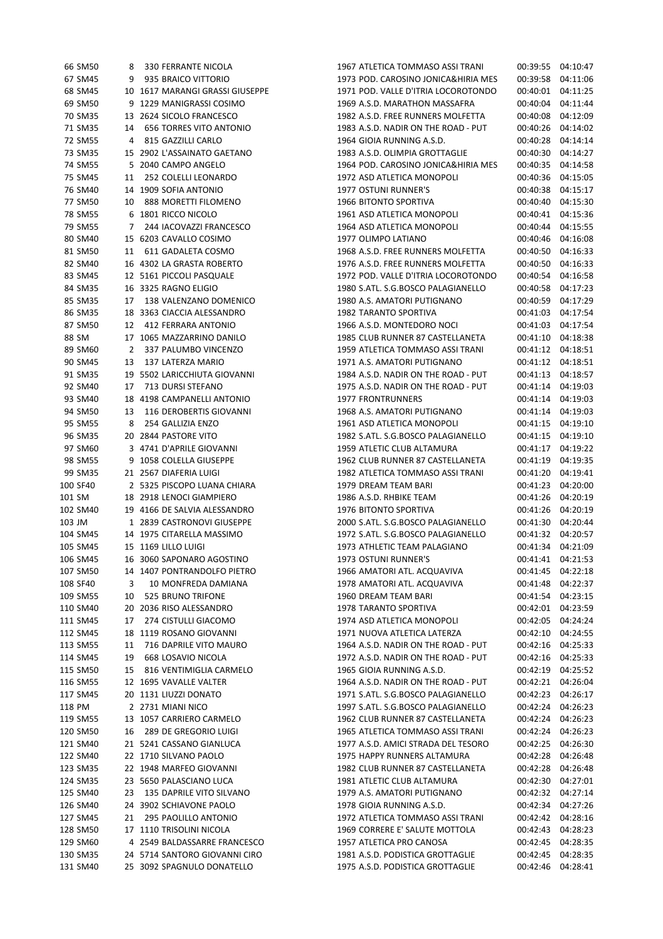|          | 66 SM50  |              | 8 330 FERRANTE NICOLA           |
|----------|----------|--------------|---------------------------------|
|          | 67 SM45  |              | 9 935 BRAICO VITTORIO           |
|          | 68 SM45  |              | 10 1617 MARANGI GRASSI GIUSEPPE |
|          | 69 SM50  |              | 9 1229 MANIGRASSI COSIMO        |
|          | 70 SM35  |              | 13 2624 SICOLO FRANCESCO        |
|          | 71 SM35  |              | 14 656 TORRES VITO ANTONIO      |
|          | 72 SM55  |              | 4 815 GAZZILLI CARLO            |
|          | 73 SM35  |              | 15 2902 L'ASSAINATO GAETANO     |
|          | 74 SM55  | - 5          | 2040 CAMPO ANGELO               |
|          | 75 SM45  | 11           | 252 COLELLI LEONARDO            |
|          | 76 SM40  | 14           | 1909 SOFIA ANTONIO              |
|          | 77 SM50  |              | 10 888 MORETTI FILOMENO         |
|          | 78 SM55  |              | 6 1801 RICCO NICOLO             |
|          | 79 SM55  |              | 7 244 IACOVAZZI FRANCESCO       |
|          | 80 SM40  |              | 15 6203 CAVALLO COSIMO          |
|          | 81 SM50  |              | 11 611 GADALETA COSMO           |
|          | 82 SM40  |              | 16 4302 LA GRASTA ROBERTO       |
|          | 83 SM45  |              | 12 5161 PICCOLI PASQUALE        |
|          | 84 SM35  |              | 16 3325 RAGNO ELIGIO            |
|          | 85 SM35  |              | 17 138 VALENZANO DOMENICO       |
|          | 86 SM35  | 18           | 3363 CIACCIA ALESSANDRO         |
|          | 87 SM50  |              | 12 412 FERRARA ANTONIO          |
| 88 SM    |          |              | 17 1065 MAZZARRINO DANILO       |
|          | 89 SM60  |              | 2 337 PALUMBO VINCENZO          |
|          | 90 SM45  |              | 13 137 LATERZA MARIO            |
|          | 91 SM35  |              | 19 5502 LARICCHIUTA GIOVANNI    |
|          | 92 SM40  |              | 17 713 DURSI STEFANO            |
|          | 93 SM40  |              | 18 4198 CAMPANELLI ANTONIO      |
|          | 94 SM50  | 13           | 116 DEROBERTIS GIOVANNI         |
|          | 95 SM55  | 8            | 254 GALLIZIA ENZO               |
|          | 96 SM35  |              | 20 2844 PASTORE VITO            |
|          | 97 SM60  |              | 3 4741 D'APRILE GIOVANNI        |
|          | 98 SM55  |              | 9 1058 COLELLA GIUSEPPE         |
|          | 99 SM35  |              | 21 2567 DIAFERIA LUIGI          |
| 100 SF40 |          | $\mathbf{2}$ | 5325 PISCOPO LUANA CHIARA       |
| 101 SM   |          | 18           | 2918 LENOCI GIAMPIERO           |
|          | 102 SM40 |              | 19 4166 DE SALVIA ALESSANDRO    |
| 103 JM   |          |              | 1 2839 CASTRONOVI GIUSEPPE      |
|          | 104 SM45 |              | 14 1975 CITARELLA MASSIMO       |
|          | 105 SM45 |              | 15 1169 LILLO LUIGI             |
| 106 SM45 |          | 16           | 3060 SAPONARO AGOSTINO          |
| 107 SM50 |          | 14           | 1407 PONTRANDOLFO PIETRO        |
| 108 SF40 |          | 3            | 10 MONFREDA DAMIANA             |
| 109 SM55 |          | 10           | 525 BRUNO TRIFONE               |
| 110 SM40 |          | 20           | 2036 RISO ALESSANDRO            |
| 111 SM45 |          | 17           | 274 CISTULLI GIACOMO            |
| 112 SM45 |          | 18           | 1119 ROSANO GIOVANNI            |
| 113 SM55 |          | 11           | 716 DAPRILE VITO MAURO          |
| 114 SM45 |          | 19           | 668 LOSAVIO NICOLA              |
| 115 SM50 |          | 15           | 816 VENTIMIGLIA CARMELO         |
| 116 SM55 |          | 12           | 1695 VAVALLE VALTER             |
| 117 SM45 |          |              | 20 1131 LIUZZI DONATO           |
| 118 PM   |          | $\mathbf{2}$ | 2731 MIANI NICO                 |
| 119 SM55 |          | 13           | 1057 CARRIERO CARMELO           |
|          | 120 SM50 | 16           | 289 DE GREGORIO LUIGI           |
| 121 SM40 |          | 21           | 5241 CASSANO GIANLUCA           |
| 122 SM40 |          | 22           | 1710 SILVANO PAOLO              |
| 123 SM35 |          |              | 22 1948 MARFEO GIOVANNI         |
| 124 SM35 |          | 23           | 5650 PALASCIANO LUCA            |
|          | 125 SM40 | 23           | 135 DAPRILE VITO SILVANO        |
|          | 126 SM40 | 24           | 3902 SCHIAVONE PAOLO            |
| 127 SM45 |          | 21           | 295 PAOLILLO ANTONIO            |
|          | 128 SM50 | 17           | 1110 TRISOLINI NICOLA           |
|          | 129 SM60 | 4            | 2549 BALDASSARRE FRANCESCO      |
| 130 SM35 |          |              | 24 5714 SANTORO GIOVANNI CIRO   |
| 131 SM40 |          | 25           | 3092 SPAGNULO DONATELLO         |
|          |          |              |                                 |

| 66 SM50              | 8  | 330 FERRANTE NICOLA                               | 1967 ATLETICA TOMMASO ASSI TRANI                                   |                      | 00:39:55 04:10:47 |
|----------------------|----|---------------------------------------------------|--------------------------------------------------------------------|----------------------|-------------------|
| 67 SM45              | 9  | 935 BRAICO VITTORIO                               | 1973 POD. CAROSINO JONICA&HIRIA MES                                | 00:39:58             | 04:11:06          |
| 68 SM45              |    | 10 1617 MARANGI GRASSI GIUSEPPE                   | 1971 POD. VALLE D'ITRIA LOCOROTONDO                                | 00:40:01             | 04:11:25          |
| 69 SM50              |    | 9 1229 MANIGRASSI COSIMO                          | 1969 A.S.D. MARATHON MASSAFRA                                      | 00:40:04             | 04:11:44          |
| 70 SM35              |    | 13 2624 SICOLO FRANCESCO                          | 1982 A.S.D. FREE RUNNERS MOLFETTA                                  | 00:40:08             | 04:12:09          |
| 71 SM35              | 14 | <b>656 TORRES VITO ANTONIO</b>                    | 1983 A.S.D. NADIR ON THE ROAD - PUT                                | 00:40:26             | 04:14:02          |
| 72 SM55              | 4  | 815 GAZZILLI CARLO                                | 1964 GIOIA RUNNING A.S.D.                                          | 00:40:28             | 04:14:14          |
| 73 SM35              |    | 15 2902 L'ASSAINATO GAETANO                       | 1983 A.S.D. OLIMPIA GROTTAGLIE                                     | 00:40:30             | 04:14:27          |
| 74 SM55              |    | 5 2040 CAMPO ANGELO                               | 1964 POD. CAROSINO JONICA&HIRIA MES                                | 00:40:35             | 04:14:58          |
| 75 SM45              | 11 | 252 COLELLI LEONARDO                              | 1972 ASD ATLETICA MONOPOLI                                         | 00:40:36             | 04:15:05          |
| 76 SM40              |    | 14 1909 SOFIA ANTONIO                             | 1977 OSTUNI RUNNER'S                                               | 00:40:38             | 04:15:17          |
| 77 SM50              | 10 | 888 MORETTI FILOMENO                              | 1966 BITONTO SPORTIVA                                              | 00:40:40             | 04:15:30          |
| 78 SM55              |    | 6 1801 RICCO NICOLO                               | 1961 ASD ATLETICA MONOPOLI                                         | 00:40:41             | 04:15:36          |
| 79 SM55              | 7  | 244 IACOVAZZI FRANCESCO                           | 1964 ASD ATLETICA MONOPOLI                                         | 00:40:44             | 04:15:55          |
| 80 SM40              |    | 15 6203 CAVALLO COSIMO                            | 1977 OLIMPO LATIANO                                                | 00:40:46             | 04:16:08          |
| 81 SM50              | 11 | 611 GADALETA COSMO                                | 1968 A.S.D. FREE RUNNERS MOLFETTA                                  | 00:40:50             | 04:16:33          |
| 82 SM40              |    | 16 4302 LA GRASTA ROBERTO                         | 1976 A.S.D. FREE RUNNERS MOLFETTA                                  | 00:40:50             | 04:16:33          |
| 83 SM45              |    | 12 5161 PICCOLI PASQUALE                          | 1972 POD. VALLE D'ITRIA LOCOROTONDO                                | 00:40:54             | 04:16:58          |
| 84 SM35              |    | 16 3325 RAGNO ELIGIO                              | 1980 S.ATL. S.G.BOSCO PALAGIANELLO                                 | 00:40:58             | 04:17:23          |
| 85 SM35              | 17 | 138 VALENZANO DOMENICO                            | 1980 A.S. AMATORI PUTIGNANO                                        | 00:40:59             | 04:17:29          |
| 86 SM35              |    | 18 3363 CIACCIA ALESSANDRO                        | 1982 TARANTO SPORTIVA                                              | 00:41:03             | 04:17:54          |
| 87 SM50              | 12 | <b>412 FERRARA ANTONIO</b>                        | 1966 A.S.D. MONTEDORO NOCI                                         | 00:41:03             | 04:17:54          |
| 88 SM                |    | 17 1065 MAZZARRINO DANILO                         | 1985 CLUB RUNNER 87 CASTELLANETA                                   | 00:41:10             | 04:18:38          |
| 89 SM60              | 2  | 337 PALUMBO VINCENZO                              | 1959 ATLETICA TOMMASO ASSI TRANI                                   | 00:41:12             | 04:18:51          |
| 90 SM45              | 13 | 137 LATERZA MARIO                                 | 1971 A.S. AMATORI PUTIGNANO                                        | 00:41:12             | 04:18:51          |
| 91 SM35              |    | 19 5502 LARICCHIUTA GIOVANNI                      | 1984 A.S.D. NADIR ON THE ROAD - PUT                                | 00:41:13             | 04:18:57          |
| 92 SM40              | 17 | 713 DURSI STEFANO                                 | 1975 A.S.D. NADIR ON THE ROAD - PUT                                | 00:41:14             | 04:19:03          |
| 93 SM40              |    | 18 4198 CAMPANELLI ANTONIO                        | 1977 FRONTRUNNERS                                                  | 00:41:14             | 04:19:03          |
| 94 SM50              | 13 | 116 DEROBERTIS GIOVANNI                           | 1968 A.S. AMATORI PUTIGNANO                                        | 00:41:14             | 04:19:03          |
| 95 SM55              | 8  | 254 GALLIZIA ENZO                                 | 1961 ASD ATLETICA MONOPOLI                                         | 00:41:15             | 04:19:10          |
| 96 SM35              |    | 20 2844 PASTORE VITO                              | 1982 S.ATL. S.G.BOSCO PALAGIANELLO                                 | 00:41:15             | 04:19:10          |
| 97 SM60              |    | 3 4741 D'APRILE GIOVANNI                          | 1959 ATLETIC CLUB ALTAMURA                                         | 00:41:17             | 04:19:22          |
| 98 SM55              |    | 9 1058 COLELLA GIUSEPPE                           | 1962 CLUB RUNNER 87 CASTELLANETA                                   | 00:41:19             | 04:19:35          |
| 99 SM35              |    | 21 2567 DIAFERIA LUIGI                            | 1982 ATLETICA TOMMASO ASSI TRANI                                   | 00:41:20             | 04:19:41          |
| 100 SF40             |    | 2 5325 PISCOPO LUANA CHIARA                       | 1979 DREAM TEAM BARI                                               | 00:41:23             | 04:20:00          |
| 101 SM               |    | 18 2918 LENOCI GIAMPIERO                          | 1986 A.S.D. RHBIKE TEAM                                            | 00:41:26             | 04:20:19          |
| 102 SM40             |    | 19 4166 DE SALVIA ALESSANDRO                      | 1976 BITONTO SPORTIVA                                              | 00:41:26             | 04:20:19          |
| 103 JM               |    | 1 2839 CASTRONOVI GIUSEPPE                        | 2000 S.ATL. S.G.BOSCO PALAGIANELLO                                 | 00:41:30             | 04:20:44          |
| 104 SM45             |    | 14 1975 CITARELLA MASSIMO                         | 1972 S.ATL. S.G.BOSCO PALAGIANELLO                                 | 00:41:32             | 04:20:57          |
| 105 SM45             |    | 15 1169 LILLO LUIGI                               | 1973 ATHLETIC TEAM PALAGIANO                                       |                      | 00:41:34 04:21:09 |
| 106 SM45             |    | 16 3060 SAPONARO AGOSTINO                         | 1973 OSTUNI RUNNER'S                                               |                      | 00:41:41 04:21:53 |
| 107 SM50             |    | 14 1407 PONTRANDOLFO PIETRO                       | 1966 AMATORI ATL. ACQUAVIVA                                        |                      | 00:41:45 04:22:18 |
| 108 SF40             | 3  | 10 MONFREDA DAMIANA                               | 1978 AMATORI ATL. ACQUAVIVA                                        |                      | 04:22:37          |
| 109 SM55             | 10 | 525 BRUNO TRIFONE                                 | 1960 DREAM TEAM BARI                                               | 00:41:48<br>00:41:54 | 04:23:15          |
| 110 SM40             |    |                                                   | 1978 TARANTO SPORTIVA                                              |                      | 04:23:59          |
| 111 SM45             | 17 | 20 2036 RISO ALESSANDRO<br>274 CISTULLI GIACOMO   | 1974 ASD ATLETICA MONOPOLI                                         | 00:42:01<br>00:42:05 | 04:24:24          |
|                      |    |                                                   |                                                                    |                      | 04:24:55          |
| 112 SM45<br>113 SM55 |    | 18 1119 ROSANO GIOVANNI<br>716 DAPRILE VITO MAURO | 1971 NUOVA ATLETICA LATERZA<br>1964 A.S.D. NADIR ON THE ROAD - PUT | 00:42:10<br>00:42:16 | 04:25:33          |
|                      | 11 |                                                   |                                                                    |                      |                   |
| 114 SM45             | 19 | 668 LOSAVIO NICOLA                                | 1972 A.S.D. NADIR ON THE ROAD - PUT                                | 00:42:16             | 04:25:33          |
| 115 SM50<br>116 SM55 | 15 | 816 VENTIMIGLIA CARMELO                           | 1965 GIOIA RUNNING A.S.D.                                          | 00:42:19             | 04:25:52          |
|                      |    | 12 1695 VAVALLE VALTER                            | 1964 A.S.D. NADIR ON THE ROAD - PUT                                | 00:42:21             | 04:26:04          |
| 117 SM45             |    | 20 1131 LIUZZI DONATO                             | 1971 S.ATL. S.G.BOSCO PALAGIANELLO                                 | 00:42:23             | 04:26:17          |
| 118 PM               |    | 2 2731 MIANI NICO                                 | 1997 S.ATL. S.G.BOSCO PALAGIANELLO                                 | 00:42:24             | 04:26:23          |
| 119 SM55             |    | 13 1057 CARRIERO CARMELO                          | 1962 CLUB RUNNER 87 CASTELLANETA                                   | 00:42:24             | 04:26:23          |
| 120 SM50             | 16 | 289 DE GREGORIO LUIGI                             | 1965 ATLETICA TOMMASO ASSI TRANI                                   | 00:42:24             | 04:26:23          |
| 121 SM40             |    | 21 5241 CASSANO GIANLUCA                          | 1977 A.S.D. AMICI STRADA DEL TESORO                                | 00:42:25             | 04:26:30          |
| 122 SM40             |    | 22 1710 SILVANO PAOLO                             | 1975 HAPPY RUNNERS ALTAMURA                                        | 00:42:28             | 04:26:48          |
| 123 SM35             |    | 22 1948 MARFEO GIOVANNI                           | 1982 CLUB RUNNER 87 CASTELLANETA                                   | 00:42:28             | 04:26:48          |
| 124 SM35             |    | 23 5650 PALASCIANO LUCA                           | 1981 ATLETIC CLUB ALTAMURA                                         | 00:42:30             | 04:27:01          |
| 125 SM40             | 23 | 135 DAPRILE VITO SILVANO                          | 1979 A.S. AMATORI PUTIGNANO                                        | 00:42:32             | 04:27:14          |
| 126 SM40             |    | 24 3902 SCHIAVONE PAOLO                           | 1978 GIOIA RUNNING A.S.D.                                          | 00:42:34             | 04:27:26          |
| 127 SM45             | 21 | 295 PAOLILLO ANTONIO                              | 1972 ATLETICA TOMMASO ASSI TRANI                                   | 00:42:42             | 04:28:16          |
| 128 SM50             |    | 17 1110 TRISOLINI NICOLA                          | 1969 CORRERE E' SALUTE MOTTOLA                                     | 00:42:43             | 04:28:23          |
| 129 SM60             |    | 4 2549 BALDASSARRE FRANCESCO                      | 1957 ATLETICA PRO CANOSA                                           | 00:42:45             | 04:28:35          |
| 130 SM35             |    | 24 5714 SANTORO GIOVANNI CIRO                     | 1981 A.S.D. PODISTICA GROTTAGLIE                                   | 00:42:45             | 04:28:35          |
| 131 SM40             |    | 25 3092 SPAGNULO DONATELLO                        | 1975 A.S.D. PODISTICA GROTTAGLIE                                   | 00:42:46             | 04:28:41          |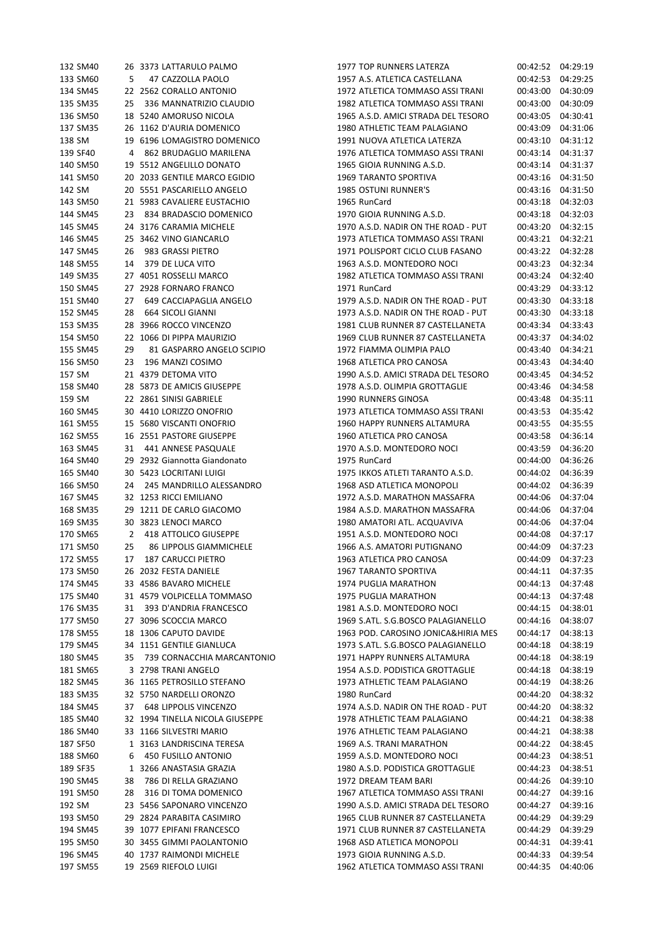| 132 SM40 |    | 26 3373 LATTARULO PALMO         | 1977 TOP RUNNERS LATERZA            | 00:42:52 | 04:29:19             |
|----------|----|---------------------------------|-------------------------------------|----------|----------------------|
| 133 SM60 | 5  | 47 CAZZOLLA PAOLO               | 1957 A.S. ATLETICA CASTELLANA       | 00:42:53 | 04:29:25             |
| 134 SM45 |    | 22 2562 CORALLO ANTONIO         | 1972 ATLETICA TOMMASO ASSI TRANI    | 00:43:00 | 04:30:09             |
| 135 SM35 | 25 | 336 MANNATRIZIO CLAUDIO         | 1982 ATLETICA TOMMASO ASSI TRANI    | 00:43:00 | 04:30:09             |
| 136 SM50 |    | 18 5240 AMORUSO NICOLA          | 1965 A.S.D. AMICI STRADA DEL TESORO | 00:43:05 | 04:30:41             |
| 137 SM35 |    | 26 1162 D'AURIA DOMENICO        | 1980 ATHLETIC TEAM PALAGIANO        | 00:43:09 | 04:31:06             |
| 138 SM   |    | 19 6196 LOMAGISTRO DOMENICO     | 1991 NUOVA ATLETICA LATERZA         | 00:43:10 | 04:31:12             |
| 139 SF40 | 4  | 862 BRUDAGLIO MARILENA          | 1976 ATLETICA TOMMASO ASSI TRANI    | 00:43:14 | 04:31:37             |
| 140 SM50 |    | 19 5512 ANGELILLO DONATO        | 1965 GIOIA RUNNING A.S.D.           | 00:43:14 | 04:31:37             |
| 141 SM50 |    | 20 2033 GENTILE MARCO EGIDIO    | 1969 TARANTO SPORTIVA               | 00:43:16 | 04:31:50             |
|          |    | 20 5551 PASCARIELLO ANGELO      | <b>1985 OSTUNI RUNNER'S</b>         |          |                      |
| 142 SM   |    |                                 | 1965 RunCard                        | 00:43:16 | 04:31:50<br>04:32:03 |
| 143 SM50 |    | 21 5983 CAVALIERE EUSTACHIO     |                                     | 00:43:18 | 04:32:03             |
| 144 SM45 | 23 | 834 BRADASCIO DOMENICO          | 1970 GIOIA RUNNING A.S.D.           | 00:43:18 |                      |
| 145 SM45 |    | 24 3176 CARAMIA MICHELE         | 1970 A.S.D. NADIR ON THE ROAD - PUT | 00:43:20 | 04:32:15             |
| 146 SM45 |    | 25 3462 VINO GIANCARLO          | 1973 ATLETICA TOMMASO ASSI TRANI    | 00:43:21 | 04:32:21             |
| 147 SM45 | 26 | 983 GRASSI PIETRO               | 1971 POLISPORT CICLO CLUB FASANO    | 00:43:22 | 04:32:28             |
| 148 SM55 | 14 | 379 DE LUCA VITO                | 1963 A.S.D. MONTEDORO NOCI          | 00:43:23 | 04:32:34             |
| 149 SM35 |    | 27 4051 ROSSELLI MARCO          | 1982 ATLETICA TOMMASO ASSI TRANI    | 00:43:24 | 04:32:40             |
| 150 SM45 |    | 27 2928 FORNARO FRANCO          | 1971 RunCard                        | 00:43:29 | 04:33:12             |
| 151 SM40 | 27 | 649 CACCIAPAGLIA ANGELO         | 1979 A.S.D. NADIR ON THE ROAD - PUT | 00:43:30 | 04:33:18             |
| 152 SM45 | 28 | <b>664 SICOLI GIANNI</b>        | 1973 A.S.D. NADIR ON THE ROAD - PUT | 00:43:30 | 04:33:18             |
| 153 SM35 |    | 28 3966 ROCCO VINCENZO          | 1981 CLUB RUNNER 87 CASTELLANETA    | 00:43:34 | 04:33:43             |
| 154 SM50 |    | 22 1066 DI PIPPA MAURIZIO       | 1969 CLUB RUNNER 87 CASTELLANETA    | 00:43:37 | 04:34:02             |
| 155 SM45 | 29 | 81 GASPARRO ANGELO SCIPIO       | 1972 FIAMMA OLIMPIA PALO            | 00:43:40 | 04:34:21             |
| 156 SM50 | 23 | 196 MANZI COSIMO                | 1968 ATLETICA PRO CANOSA            | 00:43:43 | 04:34:40             |
| 157 SM   |    | 21 4379 DETOMA VITO             | 1990 A.S.D. AMICI STRADA DEL TESORO | 00:43:45 | 04:34:52             |
| 158 SM40 |    | 28 5873 DE AMICIS GIUSEPPE      | 1978 A.S.D. OLIMPIA GROTTAGLIE      | 00:43:46 | 04:34:58             |
| 159 SM   |    | 22 2861 SINISI GABRIELE         | 1990 RUNNERS GINOSA                 | 00:43:48 | 04:35:11             |
| 160 SM45 |    | 30 4410 LORIZZO ONOFRIO         | 1973 ATLETICA TOMMASO ASSI TRANI    | 00:43:53 | 04:35:42             |
| 161 SM55 |    | 15 5680 VISCANTI ONOFRIO        | 1960 HAPPY RUNNERS ALTAMURA         | 00:43:55 | 04:35:55             |
| 162 SM55 |    | 16 2551 PASTORE GIUSEPPE        | 1960 ATLETICA PRO CANOSA            | 00:43:58 | 04:36:14             |
| 163 SM45 | 31 | 441 ANNESE PASQUALE             | 1970 A.S.D. MONTEDORO NOCI          | 00:43:59 | 04:36:20             |
| 164 SM40 |    | 29 2932 Giannotta Giandonato    | 1975 RunCard                        | 00:44:00 | 04:36:26             |
| 165 SM40 |    | 30 5423 LOCRITANI LUIGI         | 1975 IKKOS ATLETI TARANTO A.S.D.    | 00:44:02 | 04:36:39             |
| 166 SM50 | 24 | 245 MANDRILLO ALESSANDRO        | 1968 ASD ATLETICA MONOPOLI          | 00:44:02 | 04:36:39             |
| 167 SM45 |    | 32 1253 RICCI EMILIANO          | 1972 A.S.D. MARATHON MASSAFRA       | 00:44:06 | 04:37:04             |
| 168 SM35 |    | 29 1211 DE CARLO GIACOMO        | 1984 A.S.D. MARATHON MASSAFRA       | 00:44:06 | 04:37:04             |
| 169 SM35 |    | 30 3823 LENOCI MARCO            | 1980 AMATORI ATL. ACQUAVIVA         | 00:44:06 | 04:37:04             |
| 170 SM65 | 2  | 418 ATTOLICO GIUSEPPE           | 1951 A.S.D. MONTEDORO NOCI          | 00:44:08 | 04:37:17             |
| 171 SM50 | 25 | 86 LIPPOLIS GIAMMICHELE         | 1966 A.S. AMATORI PUTIGNANO         | 00:44:09 | 04:37:23             |
| 172 SM55 | 17 | <b>187 CARUCCI PIETRO</b>       | 1963 ATLETICA PRO CANOSA            | 00:44:09 | 04:37:23             |
| 173 SM50 |    | 26 2032 FESTA DANIELE           | 1967 TARANTO SPORTIVA               | 00:44:11 | 04:37:35             |
| 174 SM45 |    | 33 4586 BAVARO MICHELE          | 1974 PUGLIA MARATHON                | 00:44:13 | 04:37:48             |
| 175 SM40 |    | 31 4579 VOLPICELLA TOMMASO      | 1975 PUGLIA MARATHON                | 00:44:13 | 04:37:48             |
| 176 SM35 | 31 | 393 D'ANDRIA FRANCESCO          | 1981 A.S.D. MONTEDORO NOCI          | 00:44:15 | 04:38:01             |
| 177 SM50 |    | 27 3096 SCOCCIA MARCO           | 1969 S.ATL. S.G.BOSCO PALAGIANELLO  | 00:44:16 | 04:38:07             |
| 178 SM55 |    | 18 1306 CAPUTO DAVIDE           | 1963 POD. CAROSINO JONICA&HIRIA MES | 00:44:17 | 04:38:13             |
| 179 SM45 |    | 34 1151 GENTILE GIANLUCA        | 1973 S.ATL. S.G.BOSCO PALAGIANELLO  | 00:44:18 | 04:38:19             |
| 180 SM45 | 35 | 739 CORNACCHIA MARCANTONIO      | 1971 HAPPY RUNNERS ALTAMURA         | 00:44:18 | 04:38:19             |
| 181 SM65 |    | 3 2798 TRANI ANGELO             | 1954 A.S.D. PODISTICA GROTTAGLIE    | 00:44:18 | 04:38:19             |
| 182 SM45 |    | 36 1165 PETROSILLO STEFANO      | 1973 ATHLETIC TEAM PALAGIANO        | 00:44:19 | 04:38:26             |
| 183 SM35 |    | 32 5750 NARDELLI ORONZO         | 1980 RunCard                        | 00:44:20 | 04:38:32             |
| 184 SM45 |    | 37 648 LIPPOLIS VINCENZO        | 1974 A.S.D. NADIR ON THE ROAD - PUT | 00:44:20 | 04:38:32             |
| 185 SM40 |    | 32 1994 TINELLA NICOLA GIUSEPPE | 1978 ATHLETIC TEAM PALAGIANO        | 00:44:21 | 04:38:38             |
| 186 SM40 |    | 33 1166 SILVESTRI MARIO         | 1976 ATHLETIC TEAM PALAGIANO        | 00:44:21 | 04:38:38             |
| 187 SF50 |    | 1 3163 LANDRISCINA TERESA       | 1969 A.S. TRANI MARATHON            | 00:44:22 | 04:38:45             |
| 188 SM60 | 6  | 450 FUSILLO ANTONIO             | 1959 A.S.D. MONTEDORO NOCI          | 00:44:23 | 04:38:51             |
| 189 SF35 |    | 1 3266 ANASTASIA GRAZIA         | 1980 A.S.D. PODISTICA GROTTAGLIE    | 00:44:23 | 04:38:51             |
| 190 SM45 | 38 | 786 DI RELLA GRAZIANO           | 1972 DREAM TEAM BARI                | 00:44:26 | 04:39:10             |
| 191 SM50 | 28 | 316 DI TOMA DOMENICO            | 1967 ATLETICA TOMMASO ASSI TRANI    | 00:44:27 | 04:39:16             |
| 192 SM   |    | 23 5456 SAPONARO VINCENZO       | 1990 A.S.D. AMICI STRADA DEL TESORO | 00:44:27 | 04:39:16             |
| 193 SM50 |    | 29 2824 PARABITA CASIMIRO       | 1965 CLUB RUNNER 87 CASTELLANETA    | 00:44:29 | 04:39:29             |
| 194 SM45 |    | 39 1077 EPIFANI FRANCESCO       | 1971 CLUB RUNNER 87 CASTELLANETA    | 00:44:29 | 04:39:29             |
| 195 SM50 |    | 30 3455 GIMMI PAOLANTONIO       | 1968 ASD ATLETICA MONOPOLI          | 00:44:31 | 04:39:41             |
| 196 SM45 |    | 40 1737 RAIMONDI MICHELE        | 1973 GIOIA RUNNING A.S.D.           | 00:44:33 | 04:39:54             |
| 197 SM55 |    | 19 2569 RIEFOLO LUIGI           | 1962 ATLETICA TOMMASO ASSI TRANI    | 00:44:35 | 04:40:06             |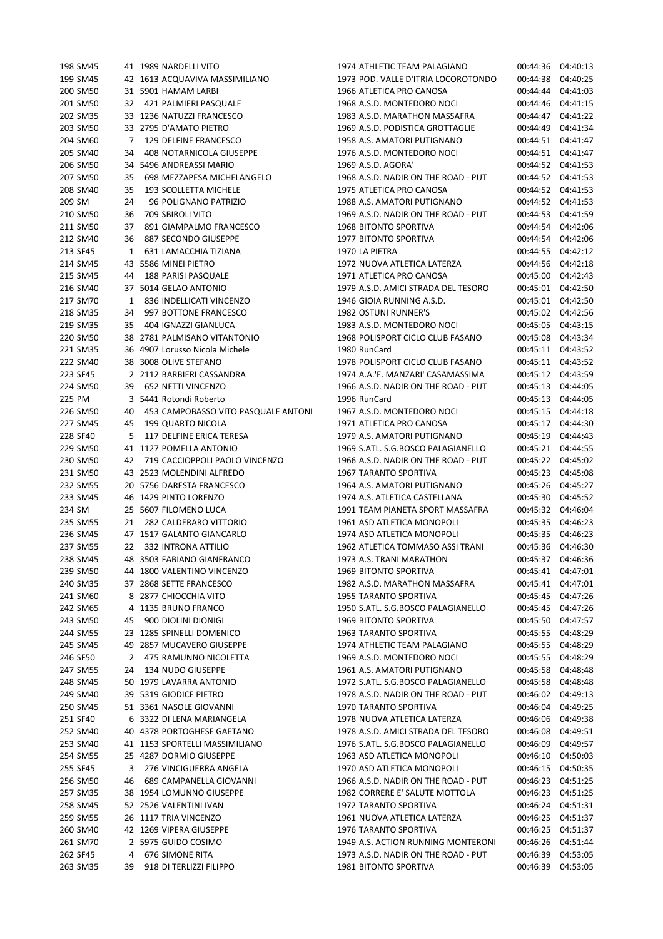| 198 SM45 |    | 41 1989 NARDELLI VITO               | 1974 ATHLETIC TEAM PALAGIANO        |                   | 00:44:36 04:40:13 |
|----------|----|-------------------------------------|-------------------------------------|-------------------|-------------------|
| 199 SM45 |    | 42 1613 ACQUAVIVA MASSIMILIANO      | 1973 POD. VALLE D'ITRIA LOCOROTONDO | 00:44:38          | 04:40:25          |
| 200 SM50 |    | 31 5901 HAMAM LARBI                 | 1966 ATLETICA PRO CANOSA            | 00:44:44          | 04:41:03          |
| 201 SM50 | 32 | 421 PALMIERI PASQUALE               | 1968 A.S.D. MONTEDORO NOCI          | 00:44:46          | 04:41:15          |
| 202 SM35 |    | 33 1236 NATUZZI FRANCESCO           | 1983 A.S.D. MARATHON MASSAFRA       | 00:44:47          | 04:41:22          |
| 203 SM50 |    | 33 2795 D'AMATO PIETRO              | 1969 A.S.D. PODISTICA GROTTAGLIE    | 00:44:49          | 04:41:34          |
| 204 SM60 | 7  | 129 DELFINE FRANCESCO               | 1958 A.S. AMATORI PUTIGNANO         | 00:44:51          | 04:41:47          |
| 205 SM40 | 34 | 408 NOTARNICOLA GIUSEPPE            | 1976 A.S.D. MONTEDORO NOCI          | 00:44:51          | 04:41:47          |
|          |    |                                     |                                     |                   |                   |
| 206 SM50 |    | 34 5496 ANDREASSI MARIO             | 1969 A.S.D. AGORA'                  |                   | 00:44:52 04:41:53 |
| 207 SM50 | 35 | 698 MEZZAPESA MICHELANGELO          | 1968 A.S.D. NADIR ON THE ROAD - PUT | 00:44:52          | 04:41:53          |
| 208 SM40 | 35 | 193 SCOLLETTA MICHELE               | 1975 ATLETICA PRO CANOSA            | 00:44:52          | 04:41:53          |
| 209 SM   | 24 | 96 POLIGNANO PATRIZIO               | 1988 A.S. AMATORI PUTIGNANO         | 00:44:52 04:41:53 |                   |
| 210 SM50 | 36 | 709 SBIROLI VITO                    | 1969 A.S.D. NADIR ON THE ROAD - PUT | 00:44:53          | 04:41:59          |
| 211 SM50 | 37 | 891 GIAMPALMO FRANCESCO             | <b>1968 BITONTO SPORTIVA</b>        | 00:44:54          | 04:42:06          |
| 212 SM40 | 36 | 887 SECONDO GIUSEPPE                | 1977 BITONTO SPORTIVA               | 00:44:54          | 04:42:06          |
| 213 SF45 | 1  | 631 LAMACCHIA TIZIANA               | 1970 LA PIETRA                      | 00:44:55          | 04:42:12          |
| 214 SM45 |    | 43 5586 MINEI PIETRO                | 1972 NUOVA ATLETICA LATERZA         | 00:44:56          | 04:42:18          |
| 215 SM45 | 44 | 188 PARISI PASQUALE                 | 1971 ATLETICA PRO CANOSA            | 00:45:00          | 04:42:43          |
| 216 SM40 |    | 37 5014 GELAO ANTONIO               | 1979 A.S.D. AMICI STRADA DEL TESORO |                   | 00:45:01 04:42:50 |
| 217 SM70 | 1  | 836 INDELLICATI VINCENZO            | 1946 GIOIA RUNNING A.S.D.           | 00:45:01          | 04:42:50          |
| 218 SM35 | 34 | 997 BOTTONE FRANCESCO               | <b>1982 OSTUNI RUNNER'S</b>         |                   | 00:45:02 04:42:56 |
|          |    | 404 IGNAZZI GIANLUCA                |                                     |                   |                   |
| 219 SM35 | 35 |                                     | 1983 A.S.D. MONTEDORO NOCI          | 00:45:05          | 04:43:15          |
| 220 SM50 |    | 38 2781 PALMISANO VITANTONIO        | 1968 POLISPORT CICLO CLUB FASANO    | 00:45:08          | 04:43:34          |
| 221 SM35 |    | 36 4907 Lorusso Nicola Michele      | 1980 RunCard                        |                   | 00:45:11 04:43:52 |
| 222 SM40 |    | 38 3008 OLIVE STEFANO               | 1978 POLISPORT CICLO CLUB FASANO    |                   | 00:45:11 04:43:52 |
| 223 SF45 |    | 2 2112 BARBIERI CASSANDRA           | 1974 A.A.'E. MANZARI' CASAMASSIMA   | 00:45:12          | 04:43:59          |
| 224 SM50 | 39 | 652 NETTI VINCENZO                  | 1966 A.S.D. NADIR ON THE ROAD - PUT | 00:45:13          | 04:44:05          |
| 225 PM   |    | 3 5441 Rotondi Roberto              | 1996 RunCard                        | 00:45:13          | 04:44:05          |
| 226 SM50 | 40 | 453 CAMPOBASSO VITO PASQUALE ANTONI | 1967 A.S.D. MONTEDORO NOCI          | 00:45:15          | 04:44:18          |
| 227 SM45 | 45 | 199 QUARTO NICOLA                   | 1971 ATLETICA PRO CANOSA            | 00:45:17          | 04:44:30          |
| 228 SF40 | 5  | 117 DELFINE ERICA TERESA            | 1979 A.S. AMATORI PUTIGNANO         | 00:45:19          | 04:44:43          |
| 229 SM50 |    | 41 1127 POMELLA ANTONIO             | 1969 S.ATL. S.G.BOSCO PALAGIANELLO  | 00:45:21          | 04:44:55          |
| 230 SM50 | 42 | 719 CACCIOPPOLI PAOLO VINCENZO      | 1966 A.S.D. NADIR ON THE ROAD - PUT | 00:45:22          | 04:45:02          |
| 231 SM50 |    | 43 2523 MOLENDINI ALFREDO           | 1967 TARANTO SPORTIVA               | 00:45:23          | 04:45:08          |
| 232 SM55 |    | 20 5756 DARESTA FRANCESCO           | 1964 A.S. AMATORI PUTIGNANO         | 00:45:26          | 04:45:27          |
| 233 SM45 |    | 46 1429 PINTO LORENZO               | 1974 A.S. ATLETICA CASTELLANA       | 00:45:30          | 04:45:52          |
| 234 SM   |    | 25 5607 FILOMENO LUCA               | 1991 TEAM PIANETA SPORT MASSAFRA    |                   | 00:45:32 04:46:04 |
|          |    |                                     |                                     |                   |                   |
| 235 SM55 | 21 | 282 CALDERARO VITTORIO              | 1961 ASD ATLETICA MONOPOLI          | 00:45:35          | 04:46:23          |
| 236 SM45 |    | 47 1517 GALANTO GIANCARLO           | 1974 ASD ATLETICA MONOPOLI          | 00:45:35          | 04:46:23          |
| 237 SM55 | 22 | 332 INTRONA ATTILIO                 | 1962 ATLETICA TOMMASO ASSI TRANI    | 00:45:36          | 04:46:30          |
| 238 SM45 |    | 48 3503 FABIANO GIANFRANCO          | 1973 A.S. TRANI MARATHON            |                   | 00:45:37 04:46:36 |
| 239 SM50 |    | 44 1800 VALENTINO VINCENZO          | <b>1969 BITONTO SPORTIVA</b>        |                   | 00:45:41 04:47:01 |
| 240 SM35 |    | 37 2868 SETTE FRANCESCO             | 1982 A.S.D. MARATHON MASSAFRA       |                   | 00:45:41 04:47:01 |
| 241 SM60 |    | 8 2877 CHIOCCHIA VITO               | 1955 TARANTO SPORTIVA               |                   | 00:45:45 04:47:26 |
| 242 SM65 |    | 4 1135 BRUNO FRANCO                 | 1950 S.ATL. S.G.BOSCO PALAGIANELLO  | 00:45:45          | 04:47:26          |
| 243 SM50 | 45 | 900 DIOLINI DIONIGI                 | 1969 BITONTO SPORTIVA               | 00:45:50          | 04:47:57          |
| 244 SM55 |    | 23 1285 SPINELLI DOMENICO           | 1963 TARANTO SPORTIVA               | 00:45:55          | 04:48:29          |
| 245 SM45 |    | 49 2857 MUCAVERO GIUSEPPE           | 1974 ATHLETIC TEAM PALAGIANO        | 00:45:55          | 04:48:29          |
| 246 SF50 | 2  | 475 RAMUNNO NICOLETTA               | 1969 A.S.D. MONTEDORO NOCI          | 00:45:55          | 04:48:29          |
| 247 SM55 | 24 | 134 NUDO GIUSEPPE                   | 1961 A.S. AMATORI PUTIGNANO         | 00:45:58          | 04:48:48          |
| 248 SM45 |    | 50 1979 LAVARRA ANTONIO             | 1972 S.ATL. S.G.BOSCO PALAGIANELLO  | 00:45:58          | 04:48:48          |
| 249 SM40 |    | 39 5319 GIODICE PIETRO              | 1978 A.S.D. NADIR ON THE ROAD - PUT | 00:46:02          | 04:49:13          |
|          |    |                                     |                                     |                   |                   |
| 250 SM45 |    | 51 3361 NASOLE GIOVANNI             | 1970 TARANTO SPORTIVA               | 00:46:04          | 04:49:25          |
| 251 SF40 |    | 6 3322 DI LENA MARIANGELA           | 1978 NUOVA ATLETICA LATERZA         | 00:46:06          | 04:49:38          |
| 252 SM40 |    | 40 4378 PORTOGHESE GAETANO          | 1978 A.S.D. AMICI STRADA DEL TESORO | 00:46:08          | 04:49:51          |
| 253 SM40 |    | 41 1153 SPORTELLI MASSIMILIANO      | 1976 S.ATL. S.G.BOSCO PALAGIANELLO  | 00:46:09          | 04:49:57          |
| 254 SM55 |    | 25 4287 DORMIO GIUSEPPE             | 1963 ASD ATLETICA MONOPOLI          | 00:46:10          | 04:50:03          |
| 255 SF45 | 3  | 276 VINCIGUERRA ANGELA              | 1970 ASD ATLETICA MONOPOLI          | 00:46:15          | 04:50:35          |
| 256 SM50 | 46 | 689 CAMPANELLA GIOVANNI             | 1966 A.S.D. NADIR ON THE ROAD - PUT | 00:46:23          | 04:51:25          |
| 257 SM35 |    | 38 1954 LOMUNNO GIUSEPPE            | 1982 CORRERE E' SALUTE MOTTOLA      | 00:46:23          | 04:51:25          |
| 258 SM45 |    | 52 2526 VALENTINI IVAN              | 1972 TARANTO SPORTIVA               | 00:46:24          | 04:51:31          |
| 259 SM55 |    | 26 1117 TRIA VINCENZO               | 1961 NUOVA ATLETICA LATERZA         | 00:46:25          | 04:51:37          |
| 260 SM40 |    | 42 1269 VIPERA GIUSEPPE             | 1976 TARANTO SPORTIVA               | 00:46:25          | 04:51:37          |
| 261 SM70 |    | 2 5975 GUIDO COSIMO                 | 1949 A.S. ACTION RUNNING MONTERONI  | 00:46:26          | 04:51:44          |
| 262 SF45 | 4  | <b>676 SIMONE RITA</b>              | 1973 A.S.D. NADIR ON THE ROAD - PUT | 00:46:39          | 04:53:05          |
| 263 SM35 | 39 | 918 DI TERLIZZI FILIPPO             | 1981 BITONTO SPORTIVA               | 00:46:39          | 04:53:05          |
|          |    |                                     |                                     |                   |                   |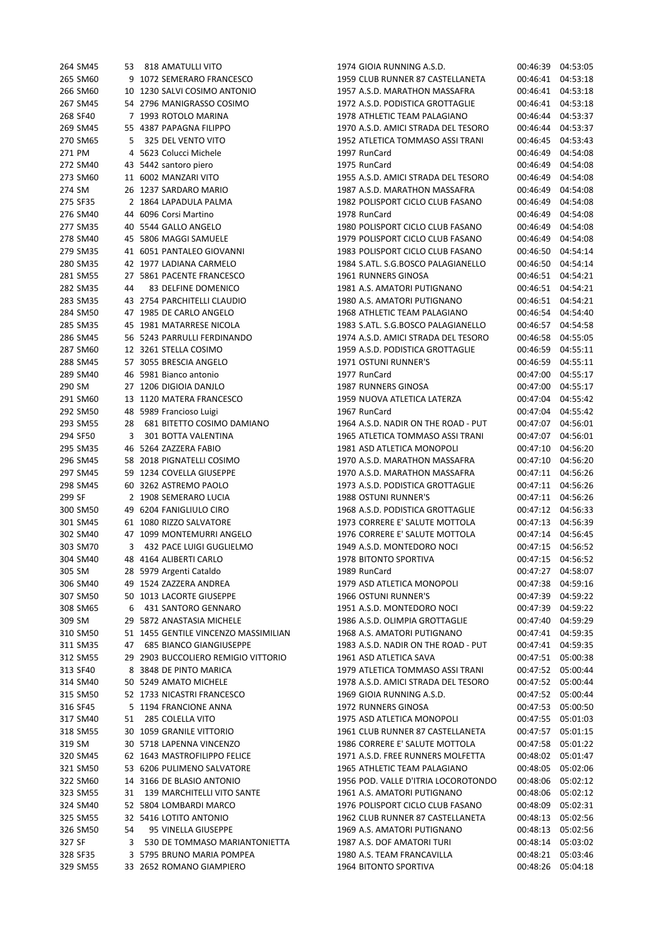| 264 SM45             | 53 | 818 AMATULLI VITO                                   | 1974 GIOIA RUNNING A.S.D.                                            | 00:46:39             | 04:53:05             |
|----------------------|----|-----------------------------------------------------|----------------------------------------------------------------------|----------------------|----------------------|
| 265 SM60             |    | 9 1072 SEMERARO FRANCESCO                           | 1959 CLUB RUNNER 87 CASTELLANETA                                     | 00:46:41             | 04:53:18             |
| 266 SM60             |    | 10 1230 SALVI COSIMO ANTONIO                        | 1957 A.S.D. MARATHON MASSAFRA                                        | 00:46:41             | 04:53:18             |
| 267 SM45             |    | 54 2796 MANIGRASSO COSIMO                           | 1972 A.S.D. PODISTICA GROTTAGLIE                                     | 00:46:41             | 04:53:18             |
| 268 SF40             |    | 7 1993 ROTOLO MARINA                                | 1978 ATHLETIC TEAM PALAGIANO                                         | 00:46:44             | 04:53:37             |
| 269 SM45             |    | 55 4387 PAPAGNA FILIPPO                             | 1970 A.S.D. AMICI STRADA DEL TESORO                                  | 00:46:44             | 04:53:37             |
| 270 SM65             | 5  | 325 DEL VENTO VITO                                  | 1952 ATLETICA TOMMASO ASSI TRANI                                     | 00:46:45             | 04:53:43             |
| 271 PM               |    | 4 5623 Colucci Michele                              | 1997 RunCard                                                         | 00:46:49             | 04:54:08             |
| 272 SM40             |    | 43 5442 santoro piero                               | 1975 RunCard                                                         | 00:46:49             | 04:54:08             |
| 273 SM60             |    | 11 6002 MANZARI VITO                                | 1955 A.S.D. AMICI STRADA DEL TESORO                                  | 00:46:49             | 04:54:08             |
| 274 SM               |    | 26 1237 SARDARO MARIO                               | 1987 A.S.D. MARATHON MASSAFRA                                        | 00:46:49             | 04:54:08             |
| 275 SF35             |    | 2 1864 LAPADULA PALMA                               | 1982 POLISPORT CICLO CLUB FASANO                                     | 00:46:49             | 04:54:08             |
| 276 SM40             |    | 44 6096 Corsi Martino                               | 1978 RunCard                                                         | 00:46:49             | 04:54:08             |
|                      |    | 40 5544 GALLO ANGELO                                |                                                                      | 00:46:49             |                      |
| 277 SM35<br>278 SM40 |    | 45 5806 MAGGI SAMUELE                               | 1980 POLISPORT CICLO CLUB FASANO<br>1979 POLISPORT CICLO CLUB FASANO | 00:46:49             | 04:54:08<br>04:54:08 |
| 279 SM35             |    | 41 6051 PANTALEO GIOVANNI                           | 1983 POLISPORT CICLO CLUB FASANO                                     | 00:46:50             | 04:54:14             |
| 280 SM35             |    | 42 1977 LADIANA CARMELO                             | 1984 S.ATL. S.G.BOSCO PALAGIANELLO                                   | 00:46:50             | 04:54:14             |
|                      |    |                                                     |                                                                      |                      |                      |
| 281 SM55             |    | 27 5861 PACENTE FRANCESCO                           | 1961 RUNNERS GINOSA                                                  | 00:46:51             | 04:54:21             |
| 282 SM35             | 44 | 83 DELFINE DOMENICO<br>43 2754 PARCHITELLI CLAUDIO  | 1981 A.S. AMATORI PUTIGNANO                                          | 00:46:51             | 04:54:21             |
| 283 SM35             |    |                                                     | 1980 A.S. AMATORI PUTIGNANO                                          | 00:46:51             | 04:54:21             |
| 284 SM50             |    | 47 1985 DE CARLO ANGELO<br>45 1981 MATARRESE NICOLA | 1968 ATHLETIC TEAM PALAGIANO<br>1983 S.ATL. S.G.BOSCO PALAGIANELLO   | 00:46:54<br>00:46:57 | 04:54:40             |
| 285 SM35             |    |                                                     |                                                                      |                      | 04:54:58             |
| 286 SM45             |    | 56 5243 PARRULLI FERDINANDO                         | 1974 A.S.D. AMICI STRADA DEL TESORO                                  | 00:46:58             | 04:55:05             |
| 287 SM60             |    | 12 3261 STELLA COSIMO                               | 1959 A.S.D. PODISTICA GROTTAGLIE                                     | 00:46:59             | 04:55:11             |
| 288 SM45             |    | 57 3055 BRESCIA ANGELO                              | 1971 OSTUNI RUNNER'S                                                 | 00:46:59             | 04:55:11             |
| 289 SM40             |    | 46 5981 Bianco antonio                              | 1977 RunCard                                                         | 00:47:00             | 04:55:17             |
| 290 SM               |    | 27 1206 DIGIOIA DANJLO                              | 1987 RUNNERS GINOSA                                                  | 00:47:00             | 04:55:17             |
| 291 SM60             |    | 13 1120 MATERA FRANCESCO                            | 1959 NUOVA ATLETICA LATERZA                                          | 00:47:04             | 04:55:42             |
| 292 SM50             |    | 48 5989 Francioso Luigi                             | 1967 RunCard                                                         | 00:47:04             | 04:55:42             |
| 293 SM55             | 28 | 681 BITETTO COSIMO DAMIANO                          | 1964 A.S.D. NADIR ON THE ROAD - PUT                                  | 00:47:07             | 04:56:01             |
| 294 SF50             | 3  | 301 BOTTA VALENTINA                                 | 1965 ATLETICA TOMMASO ASSI TRANI                                     | 00:47:07             | 04:56:01             |
| 295 SM35             |    | 46 5264 ZAZZERA FABIO                               | 1981 ASD ATLETICA MONOPOLI                                           | 00:47:10             | 04:56:20             |
| 296 SM45             |    | 58 2018 PIGNATELLI COSIMO                           | 1970 A.S.D. MARATHON MASSAFRA                                        | 00:47:10             | 04:56:20             |
| 297 SM45             |    | 59 1234 COVELLA GIUSEPPE                            | 1970 A.S.D. MARATHON MASSAFRA                                        | 00:47:11             | 04:56:26             |
| 298 SM45             |    | 60 3262 ASTREMO PAOLO                               | 1973 A.S.D. PODISTICA GROTTAGLIE                                     | 00:47:11             | 04:56:26             |
| 299 SF               |    | 2 1908 SEMERARO LUCIA                               | <b>1988 OSTUNI RUNNER'S</b>                                          | 00:47:11             | 04:56:26             |
| 300 SM50             |    | 49 6204 FANIGLIULO CIRO                             | 1968 A.S.D. PODISTICA GROTTAGLIE                                     | 00:47:12             | 04:56:33             |
| 301 SM45             |    | 61 1080 RIZZO SALVATORE                             | 1973 CORRERE E' SALUTE MOTTOLA                                       | 00:47:13             | 04:56:39             |
| 302 SM40             |    | 47 1099 MONTEMURRI ANGELO                           | 1976 CORRERE E' SALUTE MOTTOLA                                       | 00:47:14             | 04:56:45             |
| 303 SM70             | 3  | 432 PACE LUIGI GUGLIELMO                            | 1949 A.S.D. MONTEDORO NOCI                                           | 00:47:15             | 04:56:52             |
| 304 SM40             |    | 48 4164 ALIBERTI CARLO                              | 1978 BITONTO SPORTIVA                                                | 00:47:15             | 04:56:52             |
| 305 SM               |    | 28 5979 Argenti Cataldo                             | 1989 RunCard                                                         | 00:47:27             | 04:58:07             |
| 306 SM40             |    | 49 1524 ZAZZERA ANDREA                              | 1979 ASD ATLETICA MONOPOLI                                           | 00:47:38             | 04:59:16             |
| 307 SM50             |    | 50 1013 LACORTE GIUSEPPE                            | 1966 OSTUNI RUNNER'S                                                 | 00:47:39             | 04:59:22             |
| 308 SM65             | 6  | 431 SANTORO GENNARO                                 | 1951 A.S.D. MONTEDORO NOCI                                           | 00:47:39             | 04:59:22             |
| 309 SM               |    | 29 5872 ANASTASIA MICHELE                           | 1986 A.S.D. OLIMPIA GROTTAGLIE                                       | 00:47:40             | 04:59:29             |
| 310 SM50             |    | 51 1455 GENTILE VINCENZO MASSIMILIAN                | 1968 A.S. AMATORI PUTIGNANO                                          | 00:47:41             | 04:59:35             |
| 311 SM35             | 47 | <b>685 BIANCO GIANGIUSEPPE</b>                      | 1983 A.S.D. NADIR ON THE ROAD - PUT                                  | 00:47:41             | 04:59:35             |
| 312 SM55             |    | 29 2903 BUCCOLIERO REMIGIO VITTORIO                 | 1961 ASD ATLETICA SAVA                                               | 00:47:51             | 05:00:38             |
| 313 SF40             |    | 8 3848 DE PINTO MARICA                              | 1979 ATLETICA TOMMASO ASSI TRANI                                     | 00:47:52             | 05:00:44             |
| 314 SM40             |    | 50 5249 AMATO MICHELE                               | 1978 A.S.D. AMICI STRADA DEL TESORO                                  | 00:47:52             | 05:00:44             |
| 315 SM50             |    | 52 1733 NICASTRI FRANCESCO                          | 1969 GIOIA RUNNING A.S.D.                                            | 00:47:52             | 05:00:44             |
| 316 SF45             |    | 5 1194 FRANCIONE ANNA                               | 1972 RUNNERS GINOSA                                                  | 00:47:53             | 05:00:50             |
| 317 SM40             | 51 | 285 COLELLA VITO                                    | 1975 ASD ATLETICA MONOPOLI                                           | 00:47:55             | 05:01:03             |
| 318 SM55             |    | 30 1059 GRANILE VITTORIO                            | 1961 CLUB RUNNER 87 CASTELLANETA                                     | 00:47:57             | 05:01:15             |
| 319 SM               |    | 30 5718 LAPENNA VINCENZO                            | 1986 CORRERE E' SALUTE MOTTOLA                                       | 00:47:58             | 05:01:22             |
| 320 SM45             |    | 62 1643 MASTROFILIPPO FELICE                        | 1971 A.S.D. FREE RUNNERS MOLFETTA                                    | 00:48:02             | 05:01:47             |
| 321 SM50             |    | 53 6206 PULIMENO SALVATORE                          | 1965 ATHLETIC TEAM PALAGIANO                                         | 00:48:05             | 05:02:06             |
| 322 SM60             |    | 14 3166 DE BLASIO ANTONIO                           | 1956 POD. VALLE D'ITRIA LOCOROTONDO                                  | 00:48:06             | 05:02:12             |
| 323 SM55             | 31 | 139 MARCHITELLI VITO SANTE                          | 1961 A.S. AMATORI PUTIGNANO                                          | 00:48:06             | 05:02:12             |
| 324 SM40             |    | 52 5804 LOMBARDI MARCO                              | 1976 POLISPORT CICLO CLUB FASANO                                     | 00:48:09             | 05:02:31             |
| 325 SM55             |    | 32 5416 LOTITO ANTONIO                              | 1962 CLUB RUNNER 87 CASTELLANETA                                     | 00:48:13             | 05:02:56             |
| 326 SM50             | 54 | 95 VINELLA GIUSEPPE                                 | 1969 A.S. AMATORI PUTIGNANO                                          | 00:48:13             | 05:02:56             |
| 327 SF               | 3  | 530 DE TOMMASO MARIANTONIETTA                       | 1987 A.S. DOF AMATORI TURI                                           | 00:48:14             | 05:03:02             |
| 328 SF35             |    | 3 5795 BRUNO MARIA POMPEA                           | 1980 A.S. TEAM FRANCAVILLA                                           | 00:48:21             | 05:03:46             |
| 329 SM55             |    | 33 2652 ROMANO GIAMPIERO                            | 1964 BITONTO SPORTIVA                                                | 00:48:26             | 05:04:18             |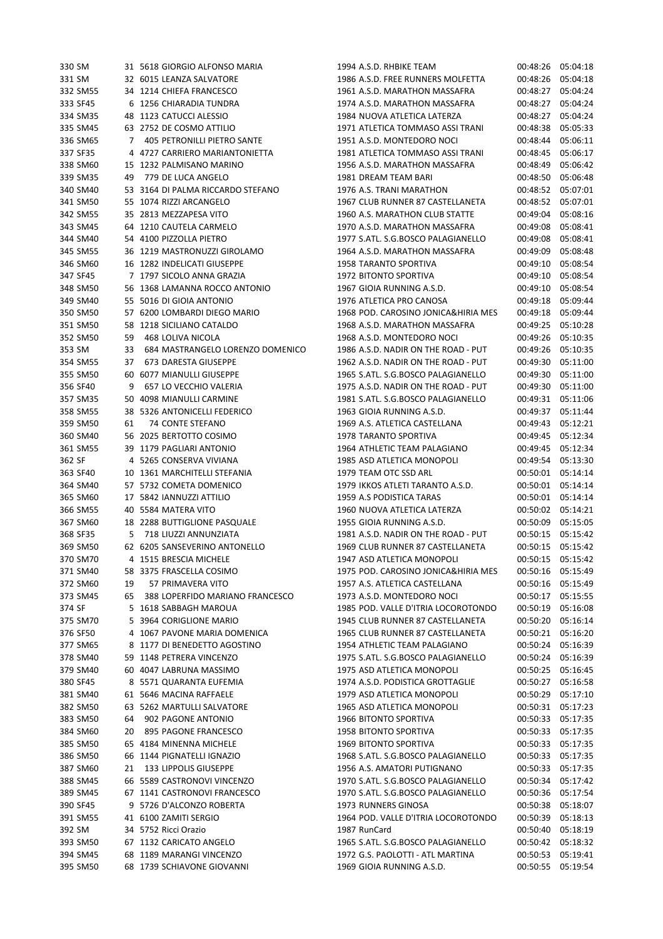| 330 SM   |    | 31 5618 GIORGIO ALFONSO MARIA     | 1994 A.S.D. RHBIKE TEAM             | 00:48:26 05:04:18 |          |
|----------|----|-----------------------------------|-------------------------------------|-------------------|----------|
| 331 SM   |    | 32 6015 LEANZA SALVATORE          | 1986 A.S.D. FREE RUNNERS MOLFETTA   | 00:48:26          | 05:04:18 |
| 332 SM55 |    | 34 1214 CHIEFA FRANCESCO          | 1961 A.S.D. MARATHON MASSAFRA       | 00:48:27          | 05:04:24 |
| 333 SF45 |    | 6 1256 CHIARADIA TUNDRA           | 1974 A.S.D. MARATHON MASSAFRA       | 00:48:27          | 05:04:24 |
| 334 SM35 |    | 48 1123 CATUCCI ALESSIO           | 1984 NUOVA ATLETICA LATERZA         | 00:48:27          | 05:04:24 |
| 335 SM45 |    | 63 2752 DE COSMO ATTILIO          | 1971 ATLETICA TOMMASO ASSI TRANI    | 00:48:38          | 05:05:33 |
| 336 SM65 | 7  | 405 PETRONILLI PIETRO SANTE       | 1951 A.S.D. MONTEDORO NOCI          | 00:48:44          | 05:06:11 |
| 337 SF35 |    | 4 4727 CARRIERO MARIANTONIETTA    | 1981 ATLETICA TOMMASO ASSI TRANI    | 00:48:45          | 05:06:17 |
| 338 SM60 |    | 15 1232 PALMISANO MARINO          | 1956 A.S.D. MARATHON MASSAFRA       | 00:48:49          | 05:06:42 |
| 339 SM35 | 49 | 779 DE LUCA ANGELO                | 1981 DREAM TEAM BARI                | 00:48:50          | 05:06:48 |
| 340 SM40 |    | 53 3164 DI PALMA RICCARDO STEFANO | 1976 A.S. TRANI MARATHON            | 00:48:52          | 05:07:01 |
| 341 SM50 |    | 55 1074 RIZZI ARCANGELO           | 1967 CLUB RUNNER 87 CASTELLANETA    | 00:48:52          | 05:07:01 |
| 342 SM55 |    | 35 2813 MEZZAPESA VITO            | 1960 A.S. MARATHON CLUB STATTE      | 00:49:04          | 05:08:16 |
| 343 SM45 |    | 64 1210 CAUTELA CARMELO           | 1970 A.S.D. MARATHON MASSAFRA       | 00:49:08          | 05:08:41 |
| 344 SM40 |    | 54 4100 PIZZOLLA PIETRO           | 1977 S.ATL. S.G.BOSCO PALAGIANELLO  | 00:49:08          | 05:08:41 |
| 345 SM55 |    | 36 1219 MASTRONUZZI GIROLAMO      | 1964 A.S.D. MARATHON MASSAFRA       | 00:49:09          | 05:08:48 |
| 346 SM60 |    | 16 1282 INDELICATI GIUSEPPE       | 1958 TARANTO SPORTIVA               | 00:49:10          | 05:08:54 |
| 347 SF45 |    | 7 1797 SICOLO ANNA GRAZIA         | 1972 BITONTO SPORTIVA               | 00:49:10          | 05:08:54 |
| 348 SM50 |    | 56 1368 LAMANNA ROCCO ANTONIO     | 1967 GIOIA RUNNING A.S.D.           | 00:49:10          | 05:08:54 |
| 349 SM40 |    | 55 5016 DI GIOIA ANTONIO          | 1976 ATLETICA PRO CANOSA            | 00:49:18          | 05:09:44 |
| 350 SM50 |    | 57 6200 LOMBARDI DIEGO MARIO      | 1968 POD. CAROSINO JONICA&HIRIA MES | 00:49:18          | 05:09:44 |
| 351 SM50 |    | 58 1218 SICILIANO CATALDO         | 1968 A.S.D. MARATHON MASSAFRA       | 00:49:25          | 05:10:28 |
| 352 SM50 | 59 | <b>468 LOLIVA NICOLA</b>          | 1968 A.S.D. MONTEDORO NOCI          | 00:49:26          | 05:10:35 |
| 353 SM   | 33 | 684 MASTRANGELO LORENZO DOMENICO  | 1986 A.S.D. NADIR ON THE ROAD - PUT | 00:49:26          | 05:10:35 |
| 354 SM55 | 37 | 673 DARESTA GIUSEPPE              | 1962 A.S.D. NADIR ON THE ROAD - PUT | 00:49:30          | 05:11:00 |
| 355 SM50 |    | 60 6077 MIANULLI GIUSEPPE         | 1965 S.ATL. S.G.BOSCO PALAGIANELLO  | 00:49:30          | 05:11:00 |
| 356 SF40 | 9  | 657 LO VECCHIO VALERIA            | 1975 A.S.D. NADIR ON THE ROAD - PUT | 00:49:30          | 05:11:00 |
| 357 SM35 |    | 50 4098 MIANULLI CARMINE          | 1981 S.ATL. S.G.BOSCO PALAGIANELLO  | 00:49:31          | 05:11:06 |
| 358 SM55 |    | 38 5326 ANTONICELLI FEDERICO      | 1963 GIOIA RUNNING A.S.D.           | 00:49:37          | 05:11:44 |
| 359 SM50 | 61 | 74 CONTE STEFANO                  | 1969 A.S. ATLETICA CASTELLANA       | 00:49:43          | 05:12:21 |
| 360 SM40 |    | 56 2025 BERTOTTO COSIMO           | 1978 TARANTO SPORTIVA               | 00:49:45          | 05:12:34 |
| 361 SM55 |    | 39 1179 PAGLIARI ANTONIO          | 1964 ATHLETIC TEAM PALAGIANO        | 00:49:45          | 05:12:34 |
| 362 SF   |    | 4 5265 CONSERVA VIVIANA           | 1985 ASD ATLETICA MONOPOLI          | 00:49:54          | 05:13:30 |
| 363 SF40 |    | 10 1361 MARCHITELLI STEFANIA      | 1979 TEAM OTC SSD ARL               | 00:50:01          | 05:14:14 |
| 364 SM40 |    | 57 5732 COMETA DOMENICO           | 1979 IKKOS ATLETI TARANTO A.S.D.    | 00:50:01          | 05:14:14 |
| 365 SM60 |    | 17 5842 IANNUZZI ATTILIO          | 1959 A.S PODISTICA TARAS            | 00:50:01          | 05:14:14 |
| 366 SM55 |    | 40 5584 MATERA VITO               | 1960 NUOVA ATLETICA LATERZA         | 00:50:02          | 05:14:21 |
| 367 SM60 |    | 18 2288 BUTTIGLIONE PASQUALE      | 1955 GIOIA RUNNING A.S.D.           | 00:50:09          | 05:15:05 |
| 368 SF35 | 5  | 718 LIUZZI ANNUNZIATA             | 1981 A.S.D. NADIR ON THE ROAD - PUT | 00:50:15          | 05:15:42 |
| 369 SM50 |    | 62 6205 SANSEVERINO ANTONELLO     | 1969 CLUB RUNNER 87 CASTELLANETA    | 00:50:15          | 05:15:42 |
| 370 SM70 |    | 4 1515 BRESCIA MICHELE            | 1947 ASD ATLETICA MONOPOLI          | 00:50:15          | 05:15:42 |
| 371 SM40 |    | 58 3375 FRASCELLA COSIMO          | 1975 POD. CAROSINO JONICA&HIRIA MES | 00:50:16          | 05:15:49 |
| 372 SM60 | 19 | 57 PRIMAVERA VITO                 | 1957 A.S. ATLETICA CASTELLANA       | 00:50:16          | 05:15:49 |
| 373 SM45 | 65 | 388 LOPERFIDO MARIANO FRANCESCO   | 1973 A.S.D. MONTEDORO NOCI          | 00:50:17          | 05:15:55 |
| 374 SF   |    | 5 1618 SABBAGH MAROUA             | 1985 POD. VALLE D'ITRIA LOCOROTONDO | 00:50:19          | 05:16:08 |
| 375 SM70 |    | 5 3964 CORIGLIONE MARIO           | 1945 CLUB RUNNER 87 CASTELLANETA    | 00:50:20          | 05:16:14 |
| 376 SF50 |    | 4 1067 PAVONE MARIA DOMENICA      | 1965 CLUB RUNNER 87 CASTELLANETA    | 00:50:21          | 05:16:20 |
| 377 SM65 |    | 8 1177 DI BENEDETTO AGOSTINO      | 1954 ATHLETIC TEAM PALAGIANO        | 00:50:24          | 05:16:39 |
| 378 SM40 |    | 59 1148 PETRERA VINCENZO          | 1975 S.ATL. S.G.BOSCO PALAGIANELLO  | 00:50:24          | 05:16:39 |
| 379 SM40 |    | 60 4047 LABRUNA MASSIMO           | 1975 ASD ATLETICA MONOPOLI          | 00:50:25          | 05:16:45 |
| 380 SF45 |    | 8 5571 QUARANTA EUFEMIA           | 1974 A.S.D. PODISTICA GROTTAGLIE    | 00:50:27          | 05:16:58 |
| 381 SM40 |    | 61 5646 MACINA RAFFAELE           | 1979 ASD ATLETICA MONOPOLI          | 00:50:29          | 05:17:10 |
| 382 SM50 |    | 63 5262 MARTULLI SALVATORE        | 1965 ASD ATLETICA MONOPOLI          | 00:50:31          | 05:17:23 |
| 383 SM50 | 64 | 902 PAGONE ANTONIO                | 1966 BITONTO SPORTIVA               | 00:50:33          | 05:17:35 |
| 384 SM60 | 20 | 895 PAGONE FRANCESCO              | 1958 BITONTO SPORTIVA               | 00:50:33          | 05:17:35 |
| 385 SM50 |    | 65 4184 MINENNA MICHELE           | 1969 BITONTO SPORTIVA               | 00:50:33          | 05:17:35 |
| 386 SM50 |    | 66 1144 PIGNATELLI IGNAZIO        | 1968 S.ATL. S.G.BOSCO PALAGIANELLO  | 00:50:33          | 05:17:35 |
| 387 SM60 | 21 | 133 LIPPOLIS GIUSEPPE             | 1956 A.S. AMATORI PUTIGNANO         | 00:50:33          | 05:17:35 |
| 388 SM45 |    | 66 5589 CASTRONOVI VINCENZO       | 1970 S.ATL. S.G.BOSCO PALAGIANELLO  | 00:50:34          | 05:17:42 |
| 389 SM45 |    | 67 1141 CASTRONOVI FRANCESCO      | 1970 S.ATL. S.G.BOSCO PALAGIANELLO  | 00:50:36          | 05:17:54 |
| 390 SF45 |    | 9 5726 D'ALCONZO ROBERTA          | 1973 RUNNERS GINOSA                 | 00:50:38          | 05:18:07 |
| 391 SM55 |    | 41 6100 ZAMITI SERGIO             | 1964 POD. VALLE D'ITRIA LOCOROTONDO | 00:50:39          | 05:18:13 |
| 392 SM   |    | 34 5752 Ricci Orazio              | 1987 RunCard                        | 00:50:40          | 05:18:19 |
| 393 SM50 |    | 67 1132 CARICATO ANGELO           | 1965 S.ATL. S.G.BOSCO PALAGIANELLO  | 00:50:42          | 05:18:32 |
| 394 SM45 |    | 68 1189 MARANGI VINCENZO          | 1972 G.S. PAOLOTTI - ATL MARTINA    | 00:50:53          | 05:19:41 |
| 395 SM50 |    | 68 1739 SCHIAVONE GIOVANNI        | 1969 GIOIA RUNNING A.S.D.           | 00:50:55          | 05:19:54 |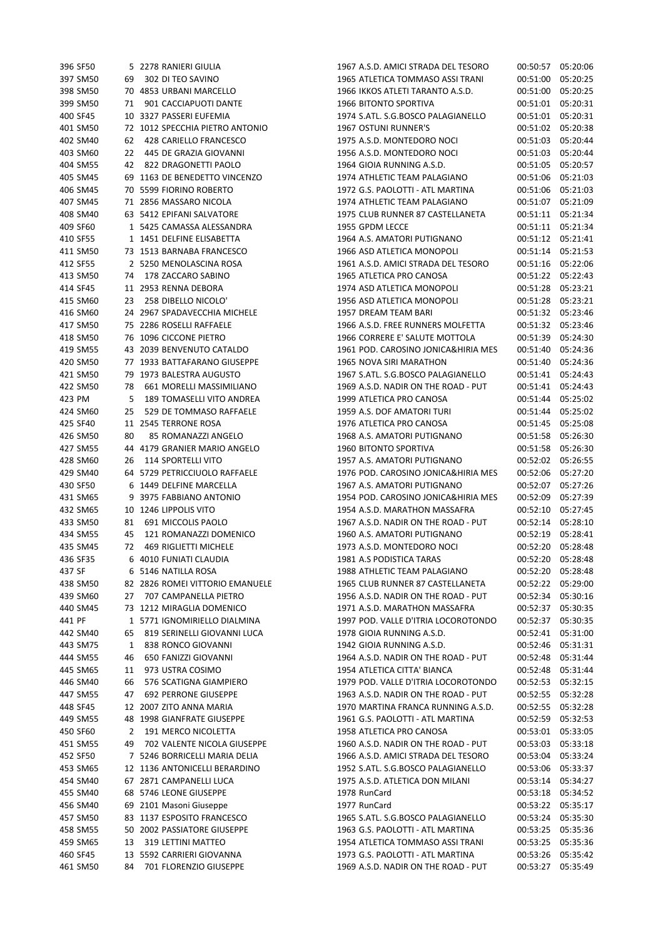| 396 SF50 |    | 5 2278 RANIERI GIULIA           | 1967 A.S.D. AMICI STRADA DEL TESORO | 00:50:57 05:20:06 |          |
|----------|----|---------------------------------|-------------------------------------|-------------------|----------|
| 397 SM50 | 69 | 302 DI TEO SAVINO               | 1965 ATLETICA TOMMASO ASSI TRANI    | 00:51:00          | 05:20:25 |
| 398 SM50 |    | 70 4853 URBANI MARCELLO         | 1966 IKKOS ATLETI TARANTO A.S.D.    | 00:51:00          | 05:20:25 |
| 399 SM50 | 71 | 901 CACCIAPUOTI DANTE           | 1966 BITONTO SPORTIVA               | 00:51:01          | 05:20:31 |
| 400 SF45 |    | 10 3327 PASSERI EUFEMIA         | 1974 S.ATL. S.G.BOSCO PALAGIANELLO  | 00:51:01 05:20:31 |          |
| 401 SM50 |    | 72 1012 SPECCHIA PIETRO ANTONIO | 1967 OSTUNI RUNNER'S                | 00:51:02 05:20:38 |          |
| 402 SM40 | 62 | 428 CARIELLO FRANCESCO          | 1975 A.S.D. MONTEDORO NOCI          | 00:51:03          | 05:20:44 |
| 403 SM60 | 22 | 445 DE GRAZIA GIOVANNI          | 1956 A.S.D. MONTEDORO NOCI          | 00:51:03          | 05:20:44 |
| 404 SM55 |    | 42 822 DRAGONETTI PAOLO         | 1964 GIOIA RUNNING A.S.D.           | 00:51:05          | 05:20:57 |
| 405 SM45 |    | 69 1163 DE BENEDETTO VINCENZO   | 1974 ATHLETIC TEAM PALAGIANO        | 00:51:06          | 05:21:03 |
| 406 SM45 |    | 70 5599 FIORINO ROBERTO         | 1972 G.S. PAOLOTTI - ATL MARTINA    | 00:51:06          | 05:21:03 |
| 407 SM45 |    | 71 2856 MASSARO NICOLA          | 1974 ATHLETIC TEAM PALAGIANO        | 00:51:07 05:21:09 |          |
| 408 SM40 |    | 63 5412 EPIFANI SALVATORE       | 1975 CLUB RUNNER 87 CASTELLANETA    | 00:51:11 05:21:34 |          |
| 409 SF60 |    | 1 5425 CAMASSA ALESSANDRA       | 1955 GPDM LECCE                     | 00:51:11          | 05:21:34 |
| 410 SF55 |    | 1 1451 DELFINE ELISABETTA       | 1964 A.S. AMATORI PUTIGNANO         | 00:51:12          | 05:21:41 |
| 411 SM50 |    | 73 1513 BARNABA FRANCESCO       | 1966 ASD ATLETICA MONOPOLI          | 00:51:14          | 05:21:53 |
| 412 SF55 |    | 2 5250 MENOLASCINA ROSA         | 1961 A.S.D. AMICI STRADA DEL TESORO | 00:51:16          | 05:22:06 |
| 413 SM50 | 74 | 178 ZACCARO SABINO              | 1965 ATLETICA PRO CANOSA            | 00:51:22 05:22:43 |          |
| 414 SF45 |    | 11 2953 RENNA DEBORA            | 1974 ASD ATLETICA MONOPOLI          | 00:51:28 05:23:21 |          |
| 415 SM60 | 23 | 258 DIBELLO NICOLO'             | 1956 ASD ATLETICA MONOPOLI          | 00:51:28          | 05:23:21 |
| 416 SM60 |    | 24 2967 SPADAVECCHIA MICHELE    | 1957 DREAM TEAM BARI                | 00:51:32 05:23:46 |          |
| 417 SM50 |    | 75 2286 ROSELLI RAFFAELE        | 1966 A.S.D. FREE RUNNERS MOLFETTA   | 00:51:32 05:23:46 |          |
| 418 SM50 |    | 76 1096 CICCONE PIETRO          | 1966 CORRERE E' SALUTE MOTTOLA      | 00:51:39          | 05:24:30 |
| 419 SM55 |    | 43 2039 BENVENUTO CATALDO       | 1961 POD. CAROSINO JONICA&HIRIA MES | 00:51:40 05:24:36 |          |
| 420 SM50 |    | 77 1933 BATTAFARANO GIUSEPPE    | 1965 NOVA SIRI MARATHON             | 00:51:40          | 05:24:36 |
| 421 SM50 |    | 79 1973 BALESTRA AUGUSTO        | 1967 S.ATL. S.G.BOSCO PALAGIANELLO  | 00:51:41          | 05:24:43 |
| 422 SM50 | 78 | 661 MORELLI MASSIMILIANO        | 1969 A.S.D. NADIR ON THE ROAD - PUT | 00:51:41          | 05:24:43 |
| 423 PM   | 5  | 189 TOMASELLI VITO ANDREA       | 1999 ATLETICA PRO CANOSA            | 00:51:44          | 05:25:02 |
| 424 SM60 | 25 | 529 DE TOMMASO RAFFAELE         | 1959 A.S. DOF AMATORI TURI          | 00:51:44          | 05:25:02 |
| 425 SF40 |    | 11 2545 TERRONE ROSA            | 1976 ATLETICA PRO CANOSA            | 00:51:45          | 05:25:08 |
| 426 SM50 | 80 | 85 ROMANAZZI ANGELO             | 1968 A.S. AMATORI PUTIGNANO         | 00:51:58          | 05:26:30 |
| 427 SM55 |    | 44 4179 GRANIER MARIO ANGELO    | 1960 BITONTO SPORTIVA               | 00:51:58          | 05:26:30 |
| 428 SM60 | 26 | <b>114 SPORTELLI VITO</b>       | 1957 A.S. AMATORI PUTIGNANO         | 00:52:02          | 05:26:55 |
| 429 SM40 |    | 64 5729 PETRICCIUOLO RAFFAELE   | 1976 POD. CAROSINO JONICA&HIRIA MES | 00:52:06          | 05:27:20 |
| 430 SF50 |    | 6 1449 DELFINE MARCELLA         | 1967 A.S. AMATORI PUTIGNANO         | 00:52:07          | 05:27:26 |
| 431 SM65 |    | 9 3975 FABBIANO ANTONIO         | 1954 POD. CAROSINO JONICA&HIRIA MES | 00:52:09          | 05:27:39 |
| 432 SM65 |    | 10 1246 LIPPOLIS VITO           | 1954 A.S.D. MARATHON MASSAFRA       | 00:52:10          | 05:27:45 |
| 433 SM50 | 81 | 691 MICCOLIS PAOLO              | 1967 A.S.D. NADIR ON THE ROAD - PUT | 00:52:14          | 05:28:10 |
| 434 SM55 | 45 | 121 ROMANAZZI DOMENICO          | 1960 A.S. AMATORI PUTIGNANO         | 00:52:19          | 05:28:41 |
| 435 SM45 | 72 | <b>469 RIGLIETTI MICHELE</b>    | 1973 A.S.D. MONTEDORO NOCI          | 00:52:20          | 05:28:48 |
| 436 SF35 |    | 6 4010 FUNIATI CLAUDIA          | 1981 A.S PODISTICA TARAS            | 00:52:20 05:28:48 |          |
| 437 SF   |    | 6 5146 NATILLA ROSA             | 1988 ATHLETIC TEAM PALAGIANO        | 00:52:20 05:28:48 |          |
| 438 SM50 |    | 82 2826 ROMEI VITTORIO EMANUELE | 1965 CLUB RUNNER 87 CASTELLANETA    | 00:52:22 05:29:00 |          |
| 439 SM60 | 27 | 707 CAMPANELLA PIETRO           | 1956 A.S.D. NADIR ON THE ROAD - PUT | 00:52:34 05:30:16 |          |
| 440 SM45 |    | 73 1212 MIRAGLIA DOMENICO       | 1971 A.S.D. MARATHON MASSAFRA       | 00:52:37          | 05:30:35 |
| 441 PF   |    | 1 5771 IGNOMIRIELLO DIALMINA    | 1997 POD. VALLE D'ITRIA LOCOROTONDO | 00:52:37          | 05:30:35 |
| 442 SM40 | 65 | 819 SERINELLI GIOVANNI LUCA     | 1978 GIOIA RUNNING A.S.D.           | 00:52:41          | 05:31:00 |
| 443 SM75 | 1  | 838 RONCO GIOVANNI              | 1942 GIOIA RUNNING A.S.D.           | 00:52:46          | 05:31:31 |
| 444 SM55 | 46 | 650 FANIZZI GIOVANNI            | 1964 A.S.D. NADIR ON THE ROAD - PUT | 00:52:48          | 05:31:44 |
| 445 SM65 | 11 | 973 USTRA COSIMO                | 1954 ATLETICA CITTA' BIANCA         | 00:52:48          | 05:31:44 |
| 446 SM40 | 66 | 576 SCATIGNA GIAMPIERO          | 1979 POD. VALLE D'ITRIA LOCOROTONDO | 00:52:53          | 05:32:15 |
| 447 SM55 | 47 | <b>692 PERRONE GIUSEPPE</b>     | 1963 A.S.D. NADIR ON THE ROAD - PUT | 00:52:55          | 05:32:28 |
| 448 SF45 |    | 12 2007 ZITO ANNA MARIA         | 1970 MARTINA FRANCA RUNNING A.S.D.  | 00:52:55          | 05:32:28 |
| 449 SM55 |    | 48 1998 GIANFRATE GIUSEPPE      | 1961 G.S. PAOLOTTI - ATL MARTINA    | 00:52:59          | 05:32:53 |
| 450 SF60 | 2  | 191 MERCO NICOLETTA             | 1958 ATLETICA PRO CANOSA            | 00:53:01 05:33:05 |          |
| 451 SM55 | 49 | 702 VALENTE NICOLA GIUSEPPE     | 1960 A.S.D. NADIR ON THE ROAD - PUT | 00:53:03          | 05:33:18 |
| 452 SF50 |    | 7 5246 BORRICELLI MARIA DELIA   | 1966 A.S.D. AMICI STRADA DEL TESORO | 00:53:04          | 05:33:24 |
| 453 SM65 |    | 12 1136 ANTONICELLI BERARDINO   | 1952 S.ATL. S.G.BOSCO PALAGIANELLO  | 00:53:06          | 05:33:37 |
| 454 SM40 |    | 67 2871 CAMPANELLI LUCA         | 1975 A.S.D. ATLETICA DON MILANI     | 00:53:14          | 05:34:27 |
| 455 SM40 |    | 68 5746 LEONE GIUSEPPE          | 1978 RunCard                        | 00:53:18          | 05:34:52 |
| 456 SM40 |    | 69 2101 Masoni Giuseppe         | 1977 RunCard                        | 00:53:22          | 05:35:17 |
| 457 SM50 |    | 83 1137 ESPOSITO FRANCESCO      | 1965 S.ATL. S.G.BOSCO PALAGIANELLO  | 00:53:24          | 05:35:30 |
| 458 SM55 |    | 50 2002 PASSIATORE GIUSEPPE     | 1963 G.S. PAOLOTTI - ATL MARTINA    | 00:53:25          | 05:35:36 |
| 459 SM65 | 13 | 319 LETTINI MATTEO              | 1954 ATLETICA TOMMASO ASSI TRANI    | 00:53:25          | 05:35:36 |
| 460 SF45 |    | 13 5592 CARRIERI GIOVANNA       | 1973 G.S. PAOLOTTI - ATL MARTINA    | 00:53:26          | 05:35:42 |
| 461 SM50 | 84 | 701 FLORENZIO GIUSEPPE          | 1969 A.S.D. NADIR ON THE ROAD - PUT | 00:53:27 05:35:49 |          |
|          |    |                                 |                                     |                   |          |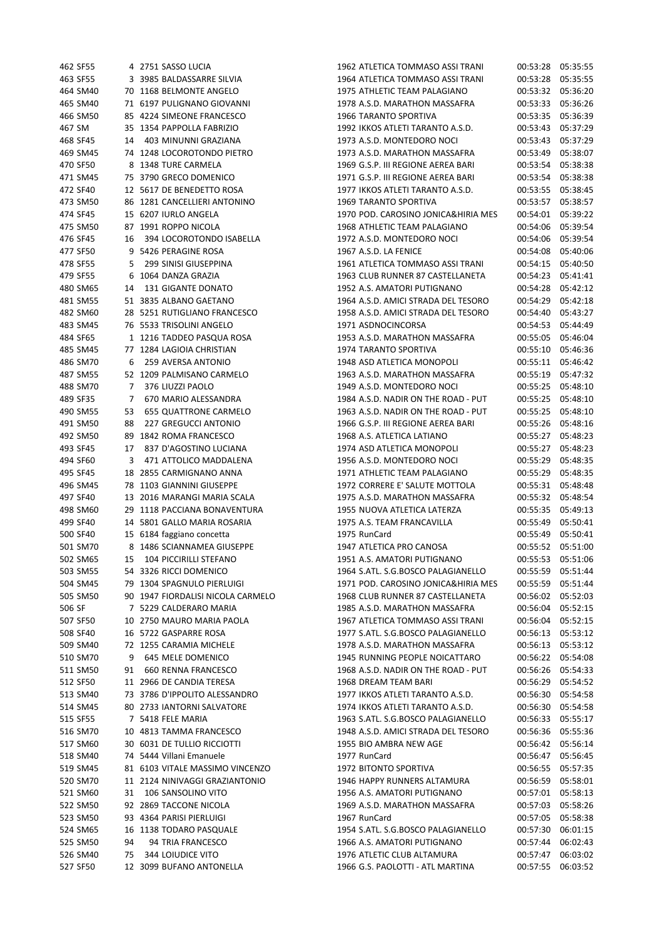| 462 SF55 |    | 4 2751 SASSO LUCIA                | 1962 ATLETICA TOMMASO ASSI TRANI    | 00:53:28 | 05:35:55 |
|----------|----|-----------------------------------|-------------------------------------|----------|----------|
| 463 SF55 |    | 3 3985 BALDASSARRE SILVIA         | 1964 ATLETICA TOMMASO ASSI TRANI    | 00:53:28 | 05:35:55 |
| 464 SM40 |    | 70 1168 BELMONTE ANGELO           | 1975 ATHLETIC TEAM PALAGIANO        | 00:53:32 | 05:36:20 |
| 465 SM40 |    | 71 6197 PULIGNANO GIOVANNI        | 1978 A.S.D. MARATHON MASSAFRA       | 00:53:33 | 05:36:26 |
| 466 SM50 |    | 85 4224 SIMEONE FRANCESCO         | 1966 TARANTO SPORTIVA               | 00:53:35 | 05:36:39 |
| 467 SM   |    | 35 1354 PAPPOLLA FABRIZIO         | 1992 IKKOS ATLETI TARANTO A.S.D.    | 00:53:43 | 05:37:29 |
| 468 SF45 | 14 | 403 MINUNNI GRAZIANA              | 1973 A.S.D. MONTEDORO NOCI          | 00:53:43 | 05:37:29 |
|          |    | 74 1248 LOCOROTONDO PIETRO        | 1973 A.S.D. MARATHON MASSAFRA       |          |          |
| 469 SM45 |    |                                   |                                     | 00:53:49 | 05:38:07 |
| 470 SF50 |    | 8 1348 TURE CARMELA               | 1969 G.S.P. III REGIONE AEREA BARI  | 00:53:54 | 05:38:38 |
| 471 SM45 |    | 75 3790 GRECO DOMENICO            | 1971 G.S.P. III REGIONE AEREA BARI  | 00:53:54 | 05:38:38 |
| 472 SF40 |    | 12 5617 DE BENEDETTO ROSA         | 1977 IKKOS ATLETI TARANTO A.S.D.    | 00:53:55 | 05:38:45 |
| 473 SM50 |    | 86 1281 CANCELLIERI ANTONINO      | <b>1969 TARANTO SPORTIVA</b>        | 00:53:57 | 05:38:57 |
| 474 SF45 |    | 15 6207 IURLO ANGELA              | 1970 POD. CAROSINO JONICA&HIRIA MES | 00:54:01 | 05:39:22 |
| 475 SM50 |    | 87 1991 ROPPO NICOLA              | 1968 ATHLETIC TEAM PALAGIANO        | 00:54:06 | 05:39:54 |
| 476 SF45 | 16 | 394 LOCOROTONDO ISABELLA          | 1972 A.S.D. MONTEDORO NOCI          | 00:54:06 | 05:39:54 |
| 477 SF50 |    | 9 5426 PERAGINE ROSA              | 1967 A.S.D. LA FENICE               | 00:54:08 | 05:40:06 |
| 478 SF55 | 5  | 299 SINISI GIUSEPPINA             | 1961 ATLETICA TOMMASO ASSI TRANI    | 00:54:15 | 05:40:50 |
| 479 SF55 |    | 6 1064 DANZA GRAZIA               | 1963 CLUB RUNNER 87 CASTELLANETA    | 00:54:23 | 05:41:41 |
| 480 SM65 | 14 | 131 GIGANTE DONATO                | 1952 A.S. AMATORI PUTIGNANO         | 00:54:28 | 05:42:12 |
| 481 SM55 |    | 51 3835 ALBANO GAETANO            | 1964 A.S.D. AMICI STRADA DEL TESORO | 00:54:29 | 05:42:18 |
| 482 SM60 |    | 28 5251 RUTIGLIANO FRANCESCO      | 1958 A.S.D. AMICI STRADA DEL TESORO | 00:54:40 | 05:43:27 |
|          |    | 76 5533 TRISOLINI ANGELO          |                                     |          |          |
| 483 SM45 |    |                                   | 1971 ASDNOCINCORSA                  | 00:54:53 | 05:44:49 |
| 484 SF65 |    | 1 1216 TADDEO PASQUA ROSA         | 1953 A.S.D. MARATHON MASSAFRA       | 00:55:05 | 05:46:04 |
| 485 SM45 |    | 77 1284 LAGIOIA CHRISTIAN         | <b>1974 TARANTO SPORTIVA</b>        | 00:55:10 | 05:46:36 |
| 486 SM70 | 6  | 259 AVERSA ANTONIO                | 1948 ASD ATLETICA MONOPOLI          | 00:55:11 | 05:46:42 |
| 487 SM55 |    | 52 1209 PALMISANO CARMELO         | 1963 A.S.D. MARATHON MASSAFRA       | 00:55:19 | 05:47:32 |
| 488 SM70 | 7  | 376 LIUZZI PAOLO                  | 1949 A.S.D. MONTEDORO NOCI          | 00:55:25 | 05:48:10 |
| 489 SF35 | 7  | 670 MARIO ALESSANDRA              | 1984 A.S.D. NADIR ON THE ROAD - PUT | 00:55:25 | 05:48:10 |
| 490 SM55 | 53 | <b>655 QUATTRONE CARMELO</b>      | 1963 A.S.D. NADIR ON THE ROAD - PUT | 00:55:25 | 05:48:10 |
| 491 SM50 | 88 | <b>227 GREGUCCI ANTONIO</b>       | 1966 G.S.P. III REGIONE AEREA BARI  | 00:55:26 | 05:48:16 |
| 492 SM50 |    | 89 1842 ROMA FRANCESCO            | 1968 A.S. ATLETICA LATIANO          | 00:55:27 | 05:48:23 |
| 493 SF45 | 17 | 837 D'AGOSTINO LUCIANA            | 1974 ASD ATLETICA MONOPOLI          | 00:55:27 | 05:48:23 |
| 494 SF60 | 3  | 471 ATTOLICO MADDALENA            | 1956 A.S.D. MONTEDORO NOCI          | 00:55:29 | 05:48:35 |
| 495 SF45 |    | 18 2855 CARMIGNANO ANNA           | 1971 ATHLETIC TEAM PALAGIANO        | 00:55:29 | 05:48:35 |
| 496 SM45 |    | 78 1103 GIANNINI GIUSEPPE         | 1972 CORRERE E' SALUTE MOTTOLA      | 00:55:31 | 05:48:48 |
| 497 SF40 |    | 13 2016 MARANGI MARIA SCALA       | 1975 A.S.D. MARATHON MASSAFRA       | 00:55:32 | 05:48:54 |
| 498 SM60 |    | 29 1118 PACCIANA BONAVENTURA      | 1955 NUOVA ATLETICA LATERZA         | 00:55:35 | 05:49:13 |
|          |    |                                   |                                     |          |          |
| 499 SF40 |    | 14 5801 GALLO MARIA ROSARIA       | 1975 A.S. TEAM FRANCAVILLA          | 00:55:49 | 05:50:41 |
| 500 SF40 |    | 15 6184 faggiano concetta         | 1975 RunCard                        | 00:55:49 | 05:50:41 |
| 501 SM70 |    | 8 1486 SCIANNAMEA GIUSEPPE        | 1947 ATLETICA PRO CANOSA            | 00:55:52 | 05:51:00 |
| 502 SM65 | 15 | 104 PICCIRILLI STEFANO            | 1951 A.S. AMATORI PUTIGNANO         | 00:55:53 | 05:51:06 |
| 503 SM55 |    | 54 3326 RICCI DOMENICO            | 1964 S.ATL. S.G.BOSCO PALAGIANELLO  | 00:55:59 | 05:51:44 |
| 504 SM45 |    | 79 1304 SPAGNULO PIERLUIGI        | 1971 POD. CAROSINO JONICA&HIRIA MES | 00:55:59 | 05:51:44 |
| 505 SM50 |    | 90 1947 FIORDALISI NICOLA CARMELO | 1968 CLUB RUNNER 87 CASTELLANETA    | 00:56:02 | 05:52:03 |
| 506 SF   |    | 7 5229 CALDERARO MARIA            | 1985 A.S.D. MARATHON MASSAFRA       | 00:56:04 | 05:52:15 |
| 507 SF50 |    | 10 2750 MAURO MARIA PAOLA         | 1967 ATLETICA TOMMASO ASSI TRANI    | 00:56:04 | 05:52:15 |
| 508 SF40 |    | 16 5722 GASPARRE ROSA             | 1977 S.ATL. S.G.BOSCO PALAGIANELLO  | 00:56:13 | 05:53:12 |
| 509 SM40 |    | 72 1255 CARAMIA MICHELE           | 1978 A.S.D. MARATHON MASSAFRA       | 00:56:13 | 05:53:12 |
| 510 SM70 | 9  | 645 MELE DOMENICO                 | 1945 RUNNING PEOPLE NOICATTARO      | 00:56:22 | 05:54:08 |
| 511 SM50 | 91 | 660 RENNA FRANCESCO               | 1968 A.S.D. NADIR ON THE ROAD - PUT | 00:56:26 | 05:54:33 |
| 512 SF50 |    | 11 2966 DE CANDIA TERESA          | 1968 DREAM TEAM BARI                | 00:56:29 | 05:54:52 |
| 513 SM40 |    | 73 3786 D'IPPOLITO ALESSANDRO     | 1977 IKKOS ATLETI TARANTO A.S.D.    | 00:56:30 | 05:54:58 |
| 514 SM45 |    | 80 2733 IANTORNI SALVATORE        | 1974 IKKOS ATLETI TARANTO A.S.D.    | 00:56:30 | 05:54:58 |
|          |    |                                   |                                     |          |          |
| 515 SF55 |    | 7 5418 FELE MARIA                 | 1963 S.ATL. S.G.BOSCO PALAGIANELLO  | 00:56:33 | 05:55:17 |
| 516 SM70 |    | 10 4813 TAMMA FRANCESCO           | 1948 A.S.D. AMICI STRADA DEL TESORO | 00:56:36 | 05:55:36 |
| 517 SM60 |    | 30 6031 DE TULLIO RICCIOTTI       | 1955 BIO AMBRA NEW AGE              | 00:56:42 | 05:56:14 |
| 518 SM40 |    | 74 5444 Villani Emanuele          | 1977 RunCard                        | 00:56:47 | 05:56:45 |
| 519 SM45 |    | 81 6103 VITALE MASSIMO VINCENZO   | 1972 BITONTO SPORTIVA               | 00:56:55 | 05:57:35 |
| 520 SM70 |    | 11 2124 NINIVAGGI GRAZIANTONIO    | 1946 HAPPY RUNNERS ALTAMURA         | 00:56:59 | 05:58:01 |
| 521 SM60 | 31 | 106 SANSOLINO VITO                | 1956 A.S. AMATORI PUTIGNANO         | 00:57:01 | 05:58:13 |
| 522 SM50 |    | 92 2869 TACCONE NICOLA            | 1969 A.S.D. MARATHON MASSAFRA       | 00:57:03 | 05:58:26 |
| 523 SM50 |    | 93 4364 PARISI PIERLUIGI          | 1967 RunCard                        | 00:57:05 | 05:58:38 |
| 524 SM65 |    | 16 1138 TODARO PASQUALE           | 1954 S.ATL. S.G.BOSCO PALAGIANELLO  | 00:57:30 | 06:01:15 |
| 525 SM50 | 94 | 94 TRIA FRANCESCO                 | 1966 A.S. AMATORI PUTIGNANO         | 00:57:44 | 06:02:43 |
| 526 SM40 | 75 | 344 LOIUDICE VITO                 | 1976 ATLETIC CLUB ALTAMURA          | 00:57:47 | 06:03:02 |
| 527 SF50 |    | 12 3099 BUFANO ANTONELLA          | 1966 G.S. PAOLOTTI - ATL MARTINA    | 00:57:55 | 06:03:52 |
|          |    |                                   |                                     |          |          |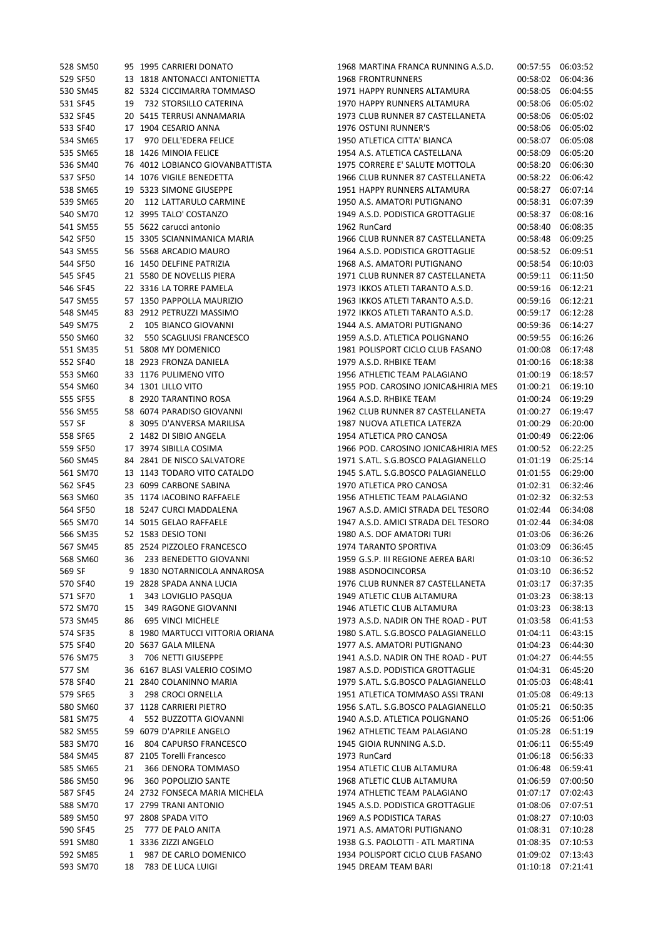| 528 SM50 |    | 95 1995 CARRIERI DONATO         | 1968 MARTINA FRANCA RUNNING A.S.D.  | 00:57:55 | 06:03:52 |
|----------|----|---------------------------------|-------------------------------------|----------|----------|
| 529 SF50 |    | 13 1818 ANTONACCI ANTONIETTA    | <b>1968 FRONTRUNNERS</b>            | 00:58:02 | 06:04:36 |
| 530 SM45 |    | 82 5324 CICCIMARRA TOMMASO      | 1971 HAPPY RUNNERS ALTAMURA         | 00:58:05 | 06:04:55 |
| 531 SF45 | 19 | 732 STORSILLO CATERINA          | 1970 HAPPY RUNNERS ALTAMURA         | 00:58:06 | 06:05:02 |
| 532 SF45 |    | 20 5415 TERRUSI ANNAMARIA       | 1973 CLUB RUNNER 87 CASTELLANETA    | 00:58:06 | 06:05:02 |
| 533 SF40 |    | 17 1904 CESARIO ANNA            | 1976 OSTUNI RUNNER'S                | 00:58:06 | 06:05:02 |
| 534 SM65 | 17 | 970 DELL'EDERA FELICE           | 1950 ATLETICA CITTA' BIANCA         | 00:58:07 | 06:05:08 |
| 535 SM65 |    | 18 1426 MINOIA FELICE           | 1954 A.S. ATLETICA CASTELLANA       | 00:58:09 | 06:05:20 |
| 536 SM40 |    | 76 4012 LOBIANCO GIOVANBATTISTA | 1975 CORRERE E' SALUTE MOTTOLA      | 00:58:20 | 06:06:30 |
| 537 SF50 |    | 14 1076 VIGILE BENEDETTA        | 1966 CLUB RUNNER 87 CASTELLANETA    | 00:58:22 | 06:06:42 |
| 538 SM65 |    | 19 5323 SIMONE GIUSEPPE         | 1951 HAPPY RUNNERS ALTAMURA         | 00:58:27 | 06:07:14 |
| 539 SM65 | 20 | 112 LATTARULO CARMINE           | 1950 A.S. AMATORI PUTIGNANO         | 00:58:31 | 06:07:39 |
| 540 SM70 |    | 12 3995 TALO' COSTANZO          | 1949 A.S.D. PODISTICA GROTTAGLIE    | 00:58:37 | 06:08:16 |
| 541 SM55 |    | 55 5622 carucci antonio         | 1962 RunCard                        | 00:58:40 | 06:08:35 |
| 542 SF50 |    | 15 3305 SCIANNIMANICA MARIA     | 1966 CLUB RUNNER 87 CASTELLANETA    | 00:58:48 | 06:09:25 |
| 543 SM55 |    | 56 5568 ARCADIO MAURO           | 1964 A.S.D. PODISTICA GROTTAGLIE    | 00:58:52 | 06:09:51 |
| 544 SF50 |    | 16 1450 DELFINE PATRIZIA        | 1968 A.S. AMATORI PUTIGNANO         | 00:58:54 | 06:10:03 |
| 545 SF45 |    | 21 5580 DE NOVELLIS PIERA       | 1971 CLUB RUNNER 87 CASTELLANETA    | 00:59:11 | 06:11:50 |
| 546 SF45 |    | 22 3316 LA TORRE PAMELA         | 1973 IKKOS ATLETI TARANTO A.S.D.    | 00:59:16 | 06:12:21 |
| 547 SM55 |    | 57 1350 PAPPOLLA MAURIZIO       | 1963 IKKOS ATLETI TARANTO A.S.D.    | 00:59:16 | 06:12:21 |
| 548 SM45 |    | 83 2912 PETRUZZI MASSIMO        | 1972 IKKOS ATLETI TARANTO A.S.D.    | 00:59:17 | 06:12:28 |
| 549 SM75 |    | 105 BIANCO GIOVANNI             | 1944 A.S. AMATORI PUTIGNANO         | 00:59:36 | 06:14:27 |
|          | 2  | 550 SCAGLIUSI FRANCESCO         | 1959 A.S.D. ATLETICA POLIGNANO      |          |          |
| 550 SM60 | 32 |                                 |                                     | 00:59:55 | 06:16:26 |
| 551 SM35 |    | 51 5808 MY DOMENICO             | 1981 POLISPORT CICLO CLUB FASANO    | 01:00:08 | 06:17:48 |
| 552 SF40 |    | 18 2923 FRONZA DANIELA          | 1979 A.S.D. RHBIKE TEAM             | 01:00:16 | 06:18:38 |
| 553 SM60 |    | 33 1176 PULIMENO VITO           | 1956 ATHLETIC TEAM PALAGIANO        | 01:00:19 | 06:18:57 |
| 554 SM60 |    | 34 1301 LILLO VITO              | 1955 POD. CAROSINO JONICA&HIRIA MES | 01:00:21 | 06:19:10 |
| 555 SF55 |    | 8 2920 TARANTINO ROSA           | 1964 A.S.D. RHBIKE TEAM             | 01:00:24 | 06:19:29 |
| 556 SM55 |    | 58 6074 PARADISO GIOVANNI       | 1962 CLUB RUNNER 87 CASTELLANETA    | 01:00:27 | 06:19:47 |
| 557 SF   |    | 8 3095 D'ANVERSA MARILISA       | 1987 NUOVA ATLETICA LATERZA         | 01:00:29 | 06:20:00 |
| 558 SF65 |    | 2 1482 DI SIBIO ANGELA          | 1954 ATLETICA PRO CANOSA            | 01:00:49 | 06:22:06 |
| 559 SF50 |    | 17 3974 SIBILLA COSIMA          | 1966 POD. CAROSINO JONICA&HIRIA MES | 01:00:52 | 06:22:25 |
| 560 SM45 |    | 84 2841 DE NISCO SALVATORE      | 1971 S.ATL. S.G.BOSCO PALAGIANELLO  | 01:01:19 | 06:25:14 |
| 561 SM70 |    | 13 1143 TODARO VITO CATALDO     | 1945 S.ATL. S.G.BOSCO PALAGIANELLO  | 01:01:55 | 06:29:00 |
| 562 SF45 |    | 23 6099 CARBONE SABINA          | 1970 ATLETICA PRO CANOSA            | 01:02:31 | 06:32:46 |
| 563 SM60 |    | 35 1174 IACOBINO RAFFAELE       | 1956 ATHLETIC TEAM PALAGIANO        | 01:02:32 | 06:32:53 |
| 564 SF50 |    | 18 5247 CURCI MADDALENA         | 1967 A.S.D. AMICI STRADA DEL TESORO | 01:02:44 | 06:34:08 |
| 565 SM70 |    | 14 5015 GELAO RAFFAELE          | 1947 A.S.D. AMICI STRADA DEL TESORO | 01:02:44 | 06:34:08 |
| 566 SM35 |    | 52 1583 DESIO TONI              | 1980 A.S. DOF AMATORI TURI          | 01:03:06 | 06:36:26 |
| 567 SM45 |    | 85 2524 PIZZOLEO FRANCESCO      | 1974 TARANTO SPORTIVA               | 01:03:09 | 06:36:45 |
| 568 SM60 |    | 36 233 BENEDETTO GIOVANNI       | 1959 G.S.P. III REGIONE AEREA BARI  | 01:03:10 | 06:36:52 |
| 569 SF   |    | 9 1830 NOTARNICOLA ANNAROSA     | 1988 ASDNOCINCORSA                  | 01:03:10 | 06:36:52 |
| 570 SF40 |    | 19 2828 SPADA ANNA LUCIA        | 1976 CLUB RUNNER 87 CASTELLANETA    | 01:03:17 | 06:37:35 |
| 571 SF70 | 1  | 343 LOVIGLIO PASQUA             | 1949 ATLETIC CLUB ALTAMURA          | 01:03:23 | 06:38:13 |
| 572 SM70 | 15 | 349 RAGONE GIOVANNI             | 1946 ATLETIC CLUB ALTAMURA          | 01:03:23 | 06:38:13 |
| 573 SM45 | 86 | 695 VINCI MICHELE               | 1973 A.S.D. NADIR ON THE ROAD - PUT | 01:03:58 | 06:41:53 |
| 574 SF35 |    | 8 1980 MARTUCCI VITTORIA ORIANA | 1980 S.ATL. S.G.BOSCO PALAGIANELLO  | 01:04:11 | 06:43:15 |
| 575 SF40 |    | 20 5637 GALA MILENA             | 1977 A.S. AMATORI PUTIGNANO         | 01:04:23 | 06:44:30 |
| 576 SM75 | 3  | 706 NETTI GIUSEPPE              | 1941 A.S.D. NADIR ON THE ROAD - PUT | 01:04:27 | 06:44:55 |
| 577 SM   |    | 36 6167 BLASI VALERIO COSIMO    | 1987 A.S.D. PODISTICA GROTTAGLIE    | 01:04:31 | 06:45:20 |
| 578 SF40 |    | 21 2840 COLANINNO MARIA         | 1979 S.ATL. S.G.BOSCO PALAGIANELLO  | 01:05:03 | 06:48:41 |
| 579 SF65 | 3  | 298 CROCI ORNELLA               | 1951 ATLETICA TOMMASO ASSI TRANI    | 01:05:08 | 06:49:13 |
| 580 SM60 |    | 37 1128 CARRIERI PIETRO         | 1956 S.ATL. S.G.BOSCO PALAGIANELLO  | 01:05:21 | 06:50:35 |
| 581 SM75 | 4  | 552 BUZZOTTA GIOVANNI           | 1940 A.S.D. ATLETICA POLIGNANO      | 01:05:26 | 06:51:06 |
| 582 SM55 |    | 59 6079 D'APRILE ANGELO         | 1962 ATHLETIC TEAM PALAGIANO        | 01:05:28 | 06:51:19 |
| 583 SM70 | 16 | 804 CAPURSO FRANCESCO           | 1945 GIOIA RUNNING A.S.D.           | 01:06:11 | 06:55:49 |
| 584 SM45 |    | 87 2105 Torelli Francesco       | 1973 RunCard                        | 01:06:18 | 06:56:33 |
| 585 SM65 | 21 | 366 DENORA TOMMASO              | 1954 ATLETIC CLUB ALTAMURA          | 01:06:48 | 06:59:41 |
| 586 SM50 | 96 | 360 POPOLIZIO SANTE             | 1968 ATLETIC CLUB ALTAMURA          | 01:06:59 | 07:00:50 |
|          |    |                                 |                                     |          | 07:02:43 |
| 587 SF45 |    | 24 2732 FONSECA MARIA MICHELA   | 1974 ATHLETIC TEAM PALAGIANO        | 01:07:17 |          |
| 588 SM70 |    | 17 2799 TRANI ANTONIO           | 1945 A.S.D. PODISTICA GROTTAGLIE    | 01:08:06 | 07:07:51 |
| 589 SM50 |    | 97 2808 SPADA VITO              | 1969 A.S PODISTICA TARAS            | 01:08:27 | 07:10:03 |
| 590 SF45 | 25 | 777 DE PALO ANITA               | 1971 A.S. AMATORI PUTIGNANO         | 01:08:31 | 07:10:28 |
| 591 SM80 |    | 1 3336 ZIZZI ANGELO             | 1938 G.S. PAOLOTTI - ATL MARTINA    | 01:08:35 | 07:10:53 |
| 592 SM85 | 1  | 987 DE CARLO DOMENICO           | 1934 POLISPORT CICLO CLUB FASANO    | 01:09:02 | 07:13:43 |
| 593 SM70 | 18 | 783 DE LUCA LUIGI               | 1945 DREAM TEAM BARI                | 01:10:18 | 07:21:41 |